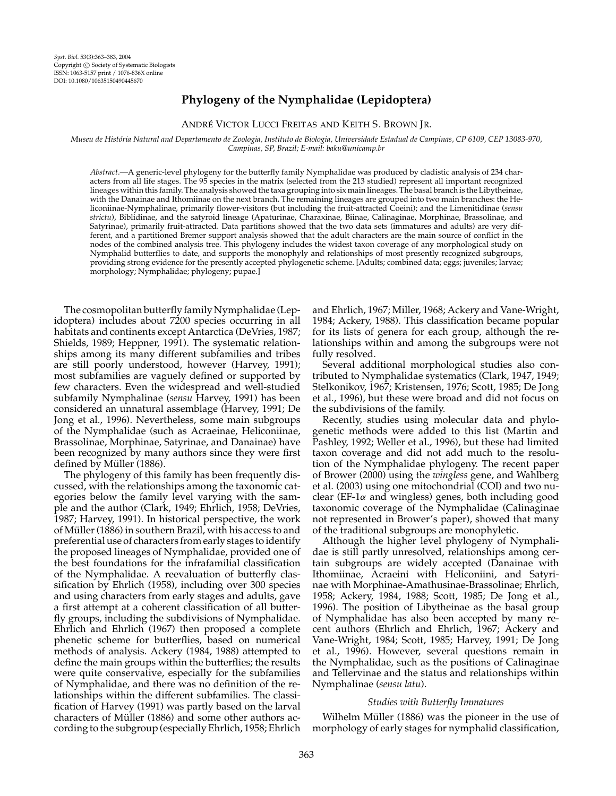# **Phylogeny of the Nymphalidae (Lepidoptera)**

# ANDRE´ VICTOR LUCCI FREITAS AND KEITH S. BROWN JR.

*Museu de Historia Natural and Departamento de Zoologia, Instituto de Biologia, Universidade Estadual de Campinas, CP 6109, CEP 13083-970, ´ Campinas, SP, Brazil; E-mail: baku@unicamp.br*

*Abstract.—*A generic-level phylogeny for the butterfly family Nymphalidae was produced by cladistic analysis of 234 characters from all life stages. The 95 species in the matrix (selected from the 213 studied) represent all important recognized lineages within this family. The analysis showed the taxa grouping into six main lineages. The basal branch is the Libytheinae, with the Danainae and Ithomiinae on the next branch. The remaining lineages are grouped into two main branches: the Heliconiinae-Nymphalinae, primarily flower-visitors (but including the fruit-attracted Coeini); and the Limenitidinae (*sensu strictu*), Biblidinae, and the satyroid lineage (Apaturinae, Charaxinae, Biinae, Calinaginae, Morphinae, Brassolinae, and Satyrinae), primarily fruit-attracted. Data partitions showed that the two data sets (immatures and adults) are very different, and a partitioned Bremer support analysis showed that the adult characters are the main source of conflict in the nodes of the combined analysis tree. This phylogeny includes the widest taxon coverage of any morphological study on Nymphalid butterflies to date, and supports the monophyly and relationships of most presently recognized subgroups, providing strong evidence for the presently accepted phylogenetic scheme. [Adults; combined data; eggs; juveniles; larvae; morphology; Nymphalidae; phylogeny; pupae.]

The cosmopolitan butterfly family Nymphalidae (Lepidoptera) includes about 7200 species occurring in all habitats and continents except Antarctica (DeVries, 1987; Shields, 1989; Heppner, 1991). The systematic relationships among its many different subfamilies and tribes are still poorly understood, however (Harvey, 1991); most subfamilies are vaguely defined or supported by few characters. Even the widespread and well-studied subfamily Nymphalinae (*sensu* Harvey, 1991) has been considered an unnatural assemblage (Harvey, 1991; De Jong et al., 1996). Nevertheless, some main subgroups of the Nymphalidae (such as Acraeinae, Heliconiinae, Brassolinae, Morphinae, Satyrinae, and Danainae) have been recognized by many authors since they were first defined by Müller (1886).

The phylogeny of this family has been frequently discussed, with the relationships among the taxonomic categories below the family level varying with the sample and the author (Clark, 1949; Ehrlich, 1958; DeVries, 1987; Harvey, 1991). In historical perspective, the work of Müller (1886) in southern Brazil, with his access to and preferential use of characters from early stages to identify the proposed lineages of Nymphalidae, provided one of the best foundations for the infrafamilial classification of the Nymphalidae. A reevaluation of butterfly classification by Ehrlich (1958), including over 300 species and using characters from early stages and adults, gave a first attempt at a coherent classification of all butterfly groups, including the subdivisions of Nymphalidae. Ehrlich and Ehrlich (1967) then proposed a complete phenetic scheme for butterflies, based on numerical methods of analysis. Ackery (1984, 1988) attempted to define the main groups within the butterflies; the results were quite conservative, especially for the subfamilies of Nymphalidae, and there was no definition of the relationships within the different subfamilies. The classification of Harvey (1991) was partly based on the larval characters of Müller (1886) and some other authors according to the subgroup (especially Ehrlich, 1958; Ehrlich

and Ehrlich, 1967; Miller, 1968; Ackery and Vane-Wright, 1984; Ackery, 1988). This classification became popular for its lists of genera for each group, although the relationships within and among the subgroups were not fully resolved.

Several additional morphological studies also contributed to Nymphalidae systematics (Clark, 1947, 1949; Stelkonikov, 1967; Kristensen, 1976; Scott, 1985; De Jong et al., 1996), but these were broad and did not focus on the subdivisions of the family.

Recently, studies using molecular data and phylogenetic methods were added to this list (Martin and Pashley, 1992; Weller et al., 1996), but these had limited taxon coverage and did not add much to the resolution of the Nymphalidae phylogeny. The recent paper of Brower (2000) using the *wingless* gene, and Wahlberg et al. (2003) using one mitochondrial (COI) and two nuclear (EF-1 $\alpha$  and wingless) genes, both including good taxonomic coverage of the Nymphalidae (Calinaginae not represented in Brower's paper), showed that many of the traditional subgroups are monophyletic.

Although the higher level phylogeny of Nymphalidae is still partly unresolved, relationships among certain subgroups are widely accepted (Danainae with Ithomiinae, Acraeini with Heliconiini, and Satyrinae with Morphinae-Amathusinae-Brassolinae; Ehrlich, 1958; Ackery, 1984, 1988; Scott, 1985; De Jong et al., 1996). The position of Libytheinae as the basal group of Nymphalidae has also been accepted by many recent authors (Ehrlich and Ehrlich, 1967; Ackery and Vane-Wright, 1984; Scott, 1985; Harvey, 1991; De Jong et al., 1996). However, several questions remain in the Nymphalidae, such as the positions of Calinaginae and Tellervinae and the status and relationships within Nymphalinae (*sensu latu*).

# *Studies with Butterfly Immatures*

Wilhelm Müller (1886) was the pioneer in the use of morphology of early stages for nymphalid classification,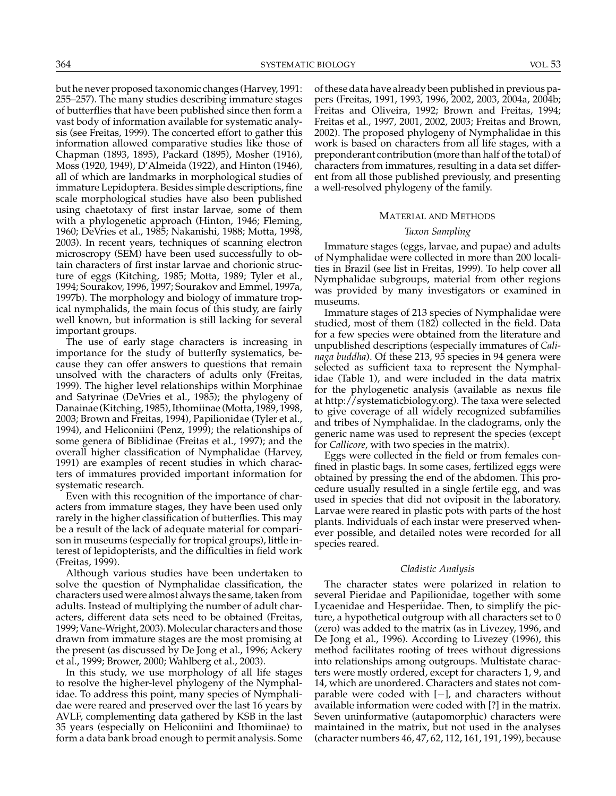but he never proposed taxonomic changes (Harvey, 1991: 255–257). The many studies describing immature stages of butterflies that have been published since then form a vast body of information available for systematic analysis (see Freitas, 1999). The concerted effort to gather this information allowed comparative studies like those of Chapman (1893, 1895), Packard (1895), Mosher (1916), Moss (1920, 1949), D'Almeida (1922), and Hinton (1946), all of which are landmarks in morphological studies of immature Lepidoptera. Besides simple descriptions, fine scale morphological studies have also been published using chaetotaxy of first instar larvae, some of them with a phylogenetic approach (Hinton, 1946; Fleming, 1960; DeVries et al., 1985; Nakanishi, 1988; Motta, 1998, 2003). In recent years, techniques of scanning electron microscropy (SEM) have been used successfully to obtain characters of first instar larvae and chorionic structure of eggs (Kitching, 1985; Motta, 1989; Tyler et al., 1994; Sourakov, 1996, 1997; Sourakov and Emmel, 1997a, 1997b). The morphology and biology of immature tropical nymphalids, the main focus of this study, are fairly well known, but information is still lacking for several important groups.

The use of early stage characters is increasing in importance for the study of butterfly systematics, because they can offer answers to questions that remain unsolved with the characters of adults only (Freitas, 1999). The higher level relationships within Morphinae and Satyrinae (DeVries et al., 1985); the phylogeny of Danainae (Kitching, 1985), Ithomiinae (Motta, 1989, 1998, 2003; Brown and Freitas, 1994), Papilionidae (Tyler et al., 1994), and Heliconiini (Penz, 1999); the relationships of some genera of Biblidinae (Freitas et al., 1997); and the overall higher classification of Nymphalidae (Harvey, 1991) are examples of recent studies in which characters of immatures provided important information for systematic research.

Even with this recognition of the importance of characters from immature stages, they have been used only rarely in the higher classification of butterflies. This may be a result of the lack of adequate material for comparison in museums (especially for tropical groups), little interest of lepidopterists, and the difficulties in field work (Freitas, 1999).

Although various studies have been undertaken to solve the question of Nymphalidae classification, the characters used were almost always the same, taken from adults. Instead of multiplying the number of adult characters, different data sets need to be obtained (Freitas, 1999; Vane-Wright, 2003). Molecular characters and those drawn from immature stages are the most promising at the present (as discussed by De Jong et al., 1996; Ackery et al., 1999; Brower, 2000; Wahlberg et al., 2003).

In this study, we use morphology of all life stages to resolve the higher-level phylogeny of the Nymphalidae. To address this point, many species of Nymphalidae were reared and preserved over the last 16 years by AVLF, complementing data gathered by KSB in the last 35 years (especially on Heliconiini and Ithomiinae) to form a data bank broad enough to permit analysis. Some

of these data have already been published in previous papers (Freitas, 1991, 1993, 1996, 2002, 2003, 2004a, 2004b; Freitas and Oliveira, 1992; Brown and Freitas, 1994; Freitas et al., 1997, 2001, 2002, 2003; Freitas and Brown, 2002). The proposed phylogeny of Nymphalidae in this work is based on characters from all life stages, with a preponderant contribution (more than half of the total) of characters from immatures, resulting in a data set different from all those published previously, and presenting a well-resolved phylogeny of the family.

## MATERIAL AND METHODS

# *Taxon Sampling*

Immature stages (eggs, larvae, and pupae) and adults of Nymphalidae were collected in more than 200 localities in Brazil (see list in Freitas, 1999). To help cover all Nymphalidae subgroups, material from other regions was provided by many investigators or examined in museums.

Immature stages of 213 species of Nymphalidae were studied, most of them (182) collected in the field. Data for a few species were obtained from the literature and unpublished descriptions (especially immatures of *Calinaga buddha*). Of these 213, 95 species in 94 genera were selected as sufficient taxa to represent the Nymphalidae (Table 1), and were included in the data matrix for the phylogenetic analysis (available as nexus file at http://systematicbiology.org). The taxa were selected to give coverage of all widely recognized subfamilies and tribes of Nymphalidae. In the cladograms, only the generic name was used to represent the species (except for *Callicore*, with two species in the matrix).

Eggs were collected in the field or from females confined in plastic bags. In some cases, fertilized eggs were obtained by pressing the end of the abdomen. This procedure usually resulted in a single fertile egg, and was used in species that did not oviposit in the laboratory. Larvae were reared in plastic pots with parts of the host plants. Individuals of each instar were preserved whenever possible, and detailed notes were recorded for all species reared.

## *Cladistic Analysis*

The character states were polarized in relation to several Pieridae and Papilionidae, together with some Lycaenidae and Hesperiidae. Then, to simplify the picture, a hypothetical outgroup with all characters set to 0 (zero) was added to the matrix (as in Livezey, 1996, and De Jong et al., 1996). According to Livezey (1996), this method facilitates rooting of trees without digressions into relationships among outgroups. Multistate characters were mostly ordered, except for characters 1, 9, and 14, which are unordered. Characters and states not comparable were coded with [−], and characters without available information were coded with [?] in the matrix. Seven uninformative (autapomorphic) characters were maintained in the matrix, but not used in the analyses (character numbers 46, 47, 62, 112, 161, 191, 199), because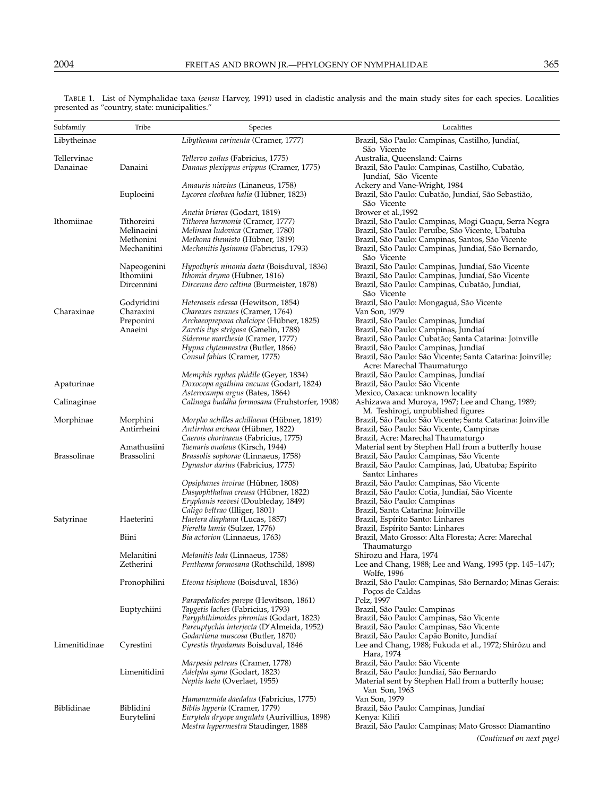| Subfamily     | Tribe                    | Species                                                                             | Localities                                                                                                                       |
|---------------|--------------------------|-------------------------------------------------------------------------------------|----------------------------------------------------------------------------------------------------------------------------------|
| Libytheinae   |                          | Libytheana carinenta (Cramer, 1777)                                                 | Brazil, São Paulo: Campinas, Castilho, Jundiaí,<br>São Vicente                                                                   |
| Tellervinae   |                          | <i>Tellervo zoilus</i> (Fabricius, 1775)                                            | Australia, Queensland: Cairns                                                                                                    |
| Danainae      | Danaini                  | Danaus plexippus erippus (Cramer, 1775)                                             | Brazil, São Paulo: Campinas, Castilho, Cubatão,<br>Jundiaí, São Vicente                                                          |
|               |                          | <i>Amauris niavius</i> (Linaneus, 1758)                                             | Ackery and Vane-Wright, 1984                                                                                                     |
|               | Euploeini                | Lycorea cleobaea halia (Hübner, 1823)                                               | Brazil, São Paulo: Cubatão, Jundiaí, São Sebastião,<br>São Vicente                                                               |
|               |                          | Anetia briarea (Godart, 1819)                                                       | Brower et al., 1992                                                                                                              |
| Ithomiinae    | Tithoreini               | Tithorea harmonia (Cramer, 1777)                                                    | Brazil, São Paulo: Campinas, Mogi Guaçu, Serra Negra                                                                             |
|               | Melinaeini               | Melinaea ludovica (Cramer, 1780)                                                    | Brazil, São Paulo: Peruíbe, São Vicente, Ubatuba                                                                                 |
|               | Methonini<br>Mechanitini | Methona themisto (Hübner, 1819)<br><i>Mechanitis Iysimnia</i> (Fabricius, 1793)     | Brazil, São Paulo: Campinas, Santos, São Vicente<br>Brazil, São Paulo: Campinas, Jundiaí, São Bernardo,<br>São Vicente           |
|               | Napeogenini              | Hypothyris ninonia daeta (Boisduval, 1836)                                          | Brazil, São Paulo: Campinas, Jundiaí, São Vicente                                                                                |
|               | Ithomiini                | Ithomia drymo (Hübner, 1816)                                                        | Brazil, São Paulo: Campinas, Jundiaí, São Vicente                                                                                |
|               | Dircennini               | Dircenna dero celtina (Burmeister, 1878)                                            | Brazil, São Paulo: Campinas, Cubatão, Jundiaí,<br>São Vicente                                                                    |
|               | Godyridini               | <i>Heterosais edessa</i> (Hewitson, 1854)                                           | Brazil, São Paulo: Mongaguá, São Vicente                                                                                         |
| Charaxinae    | Charaxini                | Charaxes varanes (Cramer, 1764)                                                     | Van Son, 1979                                                                                                                    |
|               | Preponini                | Archaeoprepona chalciope (Hübner, 1825)                                             | Brazil, São Paulo: Campinas, Jundiaí                                                                                             |
|               | Anaeini                  | Zaretis itys strigosa (Gmelin, 1788)                                                | Brazil, São Paulo: Campinas, Jundiaí                                                                                             |
|               |                          | Siderone marthesia (Cramer, 1777)                                                   | Brazil, São Paulo: Cubatão; Santa Catarina: Joinville                                                                            |
|               |                          | Hypna clytemnestra (Butler, 1866)<br>Consul fabius (Cramer, 1775)                   | Brazil, São Paulo: Campinas, Jundiaí<br>Brazil, São Paulo: São Vicente; Santa Catarina: Joinville;<br>Acre: Marechal Thaumaturgo |
|               |                          | Memphis ryphea phidile (Geyer, 1834)                                                | Brazil, São Paulo: Campinas, Jundiaí                                                                                             |
| Apaturinae    |                          | Doxocopa agathina vacuna (Godart, 1824)                                             | Brazil, São Paulo: São Vicente                                                                                                   |
|               |                          | Asterocampa argus (Bates, 1864)                                                     | Mexico, Oaxaca: unknown locality                                                                                                 |
| Calinaginae   |                          | Calinaga buddha formosana (Fruhstorfer, 1908)                                       | Ashizawa and Muroya, 1967; Lee and Chang, 1989;<br>M. Teshirogi, unpublished figures                                             |
| Morphinae     | Morphini                 | Morpho achilles achillaena (Hübner, 1819)                                           | Brazil, São Paulo: São Vicente; Santa Catarina: Joinville                                                                        |
|               | Antirrheini              | Antirrhea archaea (Hübner, 1822)                                                    | Brazil, São Paulo: São Vicente, Campinas                                                                                         |
|               | Amathusiini              | Caerois chorinaeus (Fabricius, 1775)                                                | Brazil, Acre: Marechal Thaumaturgo                                                                                               |
| Brassolinae   | <b>Brassolini</b>        | Taenaris onolaus (Kirsch, 1944)<br>Brassolis sophorae (Linnaeus, 1758)              | Material sent by Stephen Hall from a butterfly house<br>Brazil, São Paulo: Campinas, São Vicente                                 |
|               |                          | Dynastor darius (Fabricius, 1775)                                                   | Brazil, São Paulo: Campinas, Jaú, Ubatuba; Espírito<br>Santo: Linhares                                                           |
|               |                          | Opsiphanes invirae (Hübner, 1808)                                                   | Brazil, São Paulo: Campinas, São Vicente                                                                                         |
|               |                          | Dasyophthalma creusa (Hübner, 1822)                                                 | Brazil, São Paulo: Cotia, Jundiaí, São Vicente                                                                                   |
|               |                          | Eryphanis reevesi (Doubleday, 1849)<br>Caligo beltrao (Illiger, 1801)               | Brazil, São Paulo: Campinas<br>Brazil, Santa Catarina: Joinville                                                                 |
| Satyrinae     | Haeterini                | Haetera diaphana (Lucas, 1857)                                                      | Brazil, Espírito Santo: Linhares                                                                                                 |
|               |                          | Pierella lamia (Sulzer, 1776)                                                       | Brazil, Espírito Santo: Linhares                                                                                                 |
|               | Biini                    | <i>Bia actorion</i> (Linnaeus, 1763)                                                | Brazil, Mato Grosso: Alta Floresta; Acre: Marechal<br>Thaumaturgo                                                                |
|               | Melanitini               | Melanitis leda (Linnaeus, 1758)                                                     | Shirozu and Hara, 1974                                                                                                           |
|               | Zetherini                | Penthema formosana (Rothschild, 1898)                                               | Lee and Chang, 1988; Lee and Wang, 1995 (pp. 145-147);<br>Wolfe, 1996                                                            |
|               | Pronophilini             | Eteona tisiphone (Boisduval, 1836)                                                  | Brazil, São Paulo: Campinas, São Bernardo; Minas Gerais:<br>Poços de Caldas                                                      |
|               |                          | Parapedaliodes parepa (Hewitson, 1861)                                              | Pelz, 1997                                                                                                                       |
|               | Euptychiini              | Taygetis laches (Fabricius, 1793)<br>Paryphthimoides phronius (Godart, 1823)        | Brazil, São Paulo: Campinas<br>Brazil, São Paulo: Campinas, São Vicente                                                          |
|               |                          | Pareuptychia interjecta (D'Almeida, 1952)                                           | Brazil, São Paulo: Campinas, São Vicente                                                                                         |
|               |                          | Godartiana muscosa (Butler, 1870)                                                   | Brazil, São Paulo: Capão Bonito, Jundiaí                                                                                         |
| Limenitidinae | Cyrestini                | Cyrestis thyodamas Boisduval, 1846                                                  | Lee and Chang, 1988; Fukuda et al., 1972; Shirôzu and<br>Hara, 1974                                                              |
|               |                          | Marpesia petreus (Cramer, 1778)                                                     | Brazil, São Paulo: São Vicente                                                                                                   |
|               | Limenitidini             | Adelpha syma (Godart, 1823)                                                         | Brazil, São Paulo: Jundiaí, São Bernardo                                                                                         |
|               |                          | Neptis laeta (Overlaet, 1955)                                                       | Material sent by Stephen Hall from a butterfly house;<br>Van Son, 1963                                                           |
|               |                          | Hamanumida daedalus (Fabricius, 1775)                                               | Van Son, 1979                                                                                                                    |
| Biblidinae    | Biblidini                | Biblis hyperia (Cramer, 1779)                                                       | Brazil, São Paulo: Campinas, Jundiaí                                                                                             |
|               | Eurytelini               | Eurytela dryope angulata (Aurivillius, 1898)<br>Mestra hypermestra Staudinger, 1888 | Kenya: Kilifi<br>Brazil, São Paulo: Campinas; Mato Grosso: Diamantino                                                            |
|               |                          |                                                                                     |                                                                                                                                  |

TABLE 1. List of Nymphalidae taxa (*sensu* Harvey, 1991) used in cladistic analysis and the main study sites for each species. Localities presented as "country, state: municipalities."

*(Continued on next page)*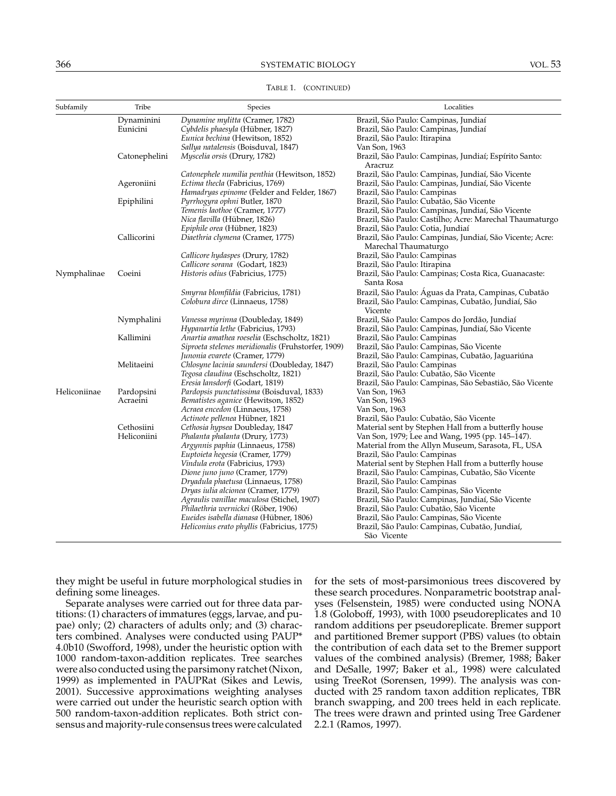# 366 SYSTEMATIC BIOLOGY VOL. 53

| Subfamily    | Tribe         | Species                                            | Localities                                                                       |
|--------------|---------------|----------------------------------------------------|----------------------------------------------------------------------------------|
|              | Dynaminini    | Dynamine mylitta (Cramer, 1782)                    | Brazil, São Paulo: Campinas, Jundiaí                                             |
|              | Eunicini      | Cybdelis phaesyla (Hübner, 1827)                   | Brazil, São Paulo: Campinas, Jundiaí                                             |
|              |               | Eunica bechina (Hewitson, 1852)                    | Brazil, São Paulo: Itirapina                                                     |
|              |               | Sallya natalensis (Boisduval, 1847)                | Van Son, 1963                                                                    |
|              | Catonephelini | Myscelia orsis (Drury, 1782)                       | Brazil, São Paulo: Campinas, Jundiaí; Espírito Santo:<br>Aracruz                 |
|              |               | Catonephele numilia penthia (Hewitson, 1852)       | Brazil, São Paulo: Campinas, Jundiaí, São Vicente                                |
|              | Ageroniini    | Ectima thecla (Fabricius, 1769)                    | Brazil, São Paulo: Campinas, Jundiaí, São Vicente                                |
|              |               | Hamadryas epinome (Felder and Felder, 1867)        | Brazil, São Paulo: Campinas                                                      |
|              | Epiphilini    | Pyrrhogyra ophni Butler, 1870                      | Brazil, São Paulo: Cubatão, São Vicente                                          |
|              |               | Temenis laothoe (Cramer, 1777)                     | Brazil, São Paulo: Campinas, Jundiaí, São Vicente                                |
|              |               | Nica flavilla (Hübner, 1826)                       | Brazil, São Paulo: Castilho; Acre: Marechal Thaumaturgo                          |
|              |               | Epiphile orea (Hübner, 1823)                       | Brazil, São Paulo: Cotia, Jundiaí                                                |
|              | Callicorini   | Diaethria clymena (Cramer, 1775)                   | Brazil, São Paulo: Campinas, Jundiaí, São Vicente; Acre:<br>Marechal Thaumaturgo |
|              |               | Callicore hydaspes (Drury, 1782)                   | Brazil, São Paulo: Campinas                                                      |
|              |               | Callicore sorana (Godart, 1823)                    | Brazil, São Paulo: Itirapina                                                     |
| Nymphalinae  | Coeini        | Historis odius (Fabricius, 1775)                   | Brazil, São Paulo: Campinas; Costa Rica, Guanacaste:<br>Santa Rosa               |
|              |               | Smyrna blomfildia (Fabricius, 1781)                | Brazil, São Paulo: Águas da Prata, Campinas, Cubatão                             |
|              |               | Colobura dirce (Linnaeus, 1758)                    | Brazil, São Paulo: Campinas, Cubatão, Jundiaí, São<br>Vicente                    |
|              | Nymphalini    | Vanessa myrinna (Doubleday, 1849)                  | Brazil, São Paulo: Campos do Jordão, Jundiaí                                     |
|              |               | Hypanartia lethe (Fabricius, 1793)                 | Brazil, São Paulo: Campinas, Jundiaí, São Vicente                                |
|              | Kallimini     | Anartia amathea roeselia (Eschscholtz, 1821)       | Brazil, São Paulo: Campinas                                                      |
|              |               | Siproeta stelenes meridionalis (Fruhstorfer, 1909) | Brazil, São Paulo: Campinas, São Vicente                                         |
|              |               | Junonia evarete (Cramer, 1779)                     | Brazil, São Paulo: Campinas, Cubatão, Jaguariúna                                 |
|              | Melitaeini    | Chlosyne lacinia saundersi (Doubleday, 1847)       | Brazil, São Paulo: Campinas                                                      |
|              |               | Tegosa claudina (Eschscholtz, 1821)                | Brazil, São Paulo: Cubatão, São Vicente                                          |
|              |               | Eresia lansdorfi (Godart, 1819)                    | Brazil, São Paulo: Campinas, São Sebastião, São Vicente                          |
| Heliconiinae | Pardopsini    | Pardopsis punctatissima (Boisduval, 1833)          | Van Son, 1963                                                                    |
|              | Acraeini      | Bematistes aganice (Hewitson, 1852)                | Van Son, 1963                                                                    |
|              |               | Acraea encedon (Linnaeus, 1758)                    | Van Son, 1963                                                                    |
|              |               | Actinote pellenea Hübner, 1821                     | Brazil, São Paulo: Cubatão, São Vicente                                          |
|              | Cethosiini    | Cethosia hypsea Doubleday, 1847                    | Material sent by Stephen Hall from a butterfly house                             |
|              | Heliconiini   | Phalanta phalanta (Drury, 1773)                    | Van Son, 1979; Lee and Wang, 1995 (pp. 145–147).                                 |
|              |               | Argynnis paphia (Linnaeus, 1758)                   | Material from the Allyn Museum, Sarasota, FL, USA                                |
|              |               | Euptoieta hegesia (Cramer, 1779)                   | Brazil, São Paulo: Campinas                                                      |
|              |               | Vindula erota (Fabricius, 1793)                    | Material sent by Stephen Hall from a butterfly house                             |
|              |               | Dione juno juno (Cramer, 1779)                     | Brazil, São Paulo: Campinas, Cubatão, São Vicente                                |
|              |               | Dryadula phaetusa (Linnaeus, 1758)                 | Brazil, São Paulo: Campinas                                                      |
|              |               | Dryas iulia alcionea (Cramer, 1779)                | Brazil, São Paulo: Campinas, São Vicente                                         |
|              |               | Agraulis vanillae maculosa (Stichel, 1907)         | Brazil, São Paulo: Campinas, Jundiaí, São Vicente                                |
|              |               | Philaethria wernickei (Röber, 1906)                | Brazil, São Paulo: Cubatão, São Vicente                                          |
|              |               | Eueides isabella dianasa (Hübner, 1806)            | Brazil, São Paulo: Campinas, São Vicente                                         |
|              |               | Heliconius erato phyllis (Fabricius, 1775)         | Brazil, São Paulo: Campinas, Cubatão, Jundiaí,                                   |
|              |               |                                                    | São Vicente                                                                      |

TABLE 1. (CONTINUED)

they might be useful in future morphological studies in defining some lineages.

Separate analyses were carried out for three data partitions: (1) characters of immatures (eggs, larvae, and pupae) only; (2) characters of adults only; and (3) characters combined. Analyses were conducted using PAUP\* 4.0b10 (Swofford, 1998), under the heuristic option with 1000 random-taxon-addition replicates. Tree searches were also conducted using the parsimony ratchet (Nixon, 1999) as implemented in PAUPRat (Sikes and Lewis, 2001). Successive approximations weighting analyses were carried out under the heuristic search option with 500 random-taxon-addition replicates. Both strict consensus and majority-rule consensus trees were calculated for the sets of most-parsimonious trees discovered by these search procedures. Nonparametric bootstrap analyses (Felsenstein, 1985) were conducted using NONA 1.8 (Goloboff, 1993), with 1000 pseudoreplicates and 10 random additions per pseudoreplicate. Bremer support and partitioned Bremer support (PBS) values (to obtain the contribution of each data set to the Bremer support values of the combined analysis) (Bremer, 1988; Baker and DeSalle, 1997; Baker et al., 1998) were calculated using TreeRot (Sorensen, 1999). The analysis was conducted with 25 random taxon addition replicates, TBR branch swapping, and 200 trees held in each replicate. The trees were drawn and printed using Tree Gardener 2.2.1 (Ramos, 1997).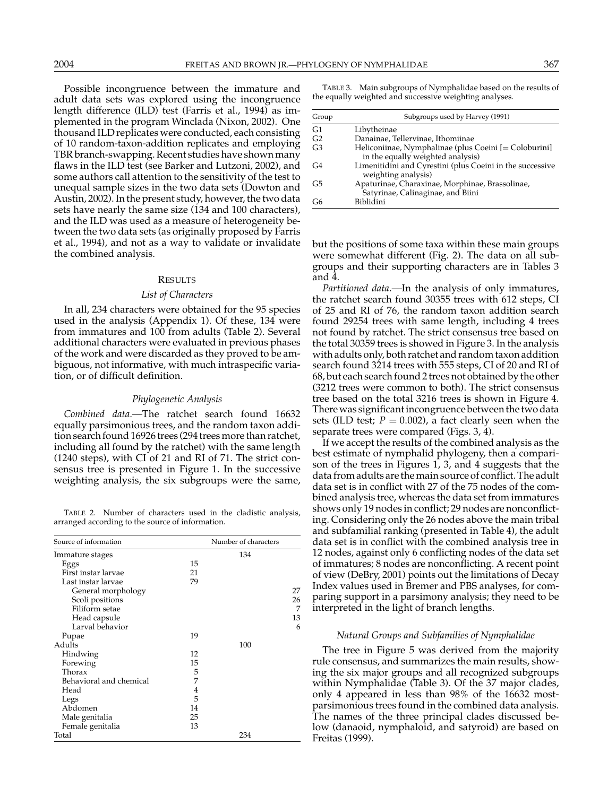Possible incongruence between the immature and adult data sets was explored using the incongruence length difference (ILD) test (Farris et al., 1994) as implemented in the program Winclada (Nixon, 2002). One thousand ILD replicates were conducted, each consisting of 10 random-taxon-addition replicates and employing TBR branch-swapping. Recent studies have shown many flaws in the ILD test (see Barker and Lutzoni, 2002), and some authors call attention to the sensitivity of the test to unequal sample sizes in the two data sets (Dowton and Austin, 2002). In the present study, however, the two data sets have nearly the same size (134 and 100 characters), and the ILD was used as a measure of heterogeneity between the two data sets (as originally proposed by Farris et al., 1994), and not as a way to validate or invalidate the combined analysis.

#### **RESULTS**

#### *List of Characters*

In all, 234 characters were obtained for the 95 species used in the analysis (Appendix 1). Of these, 134 were from immatures and 100 from adults (Table 2). Several additional characters were evaluated in previous phases of the work and were discarded as they proved to be ambiguous, not informative, with much intraspecific variation, or of difficult definition.

#### *Phylogenetic Analysis*

*Combined data.—*The ratchet search found 16632 equally parsimonious trees, and the random taxon addition search found 16926 trees (294 trees more than ratchet, including all found by the ratchet) with the same length (1240 steps), with CI of 21 and RI of 71. The strict consensus tree is presented in Figure 1. In the successive weighting analysis, the six subgroups were the same,

TABLE 2. Number of characters used in the cladistic analysis, arranged according to the source of information.

| Source of information   |    | Number of characters |    |  |
|-------------------------|----|----------------------|----|--|
| Immature stages         |    | 134                  |    |  |
| Eggs                    | 15 |                      |    |  |
| First instar larvae     | 21 |                      |    |  |
| Last instar larvae      | 79 |                      |    |  |
| General morphology      |    |                      | 27 |  |
| Scoli positions         |    |                      | 26 |  |
| Filiform setae          |    |                      | 7  |  |
| Head capsule            |    |                      | 13 |  |
| Larval behavior         |    |                      | 6  |  |
| Pupae                   | 19 |                      |    |  |
| Adults                  |    | 100                  |    |  |
| Hindwing                | 12 |                      |    |  |
| Forewing                | 15 |                      |    |  |
| Thorax                  | 5  |                      |    |  |
| Behavioral and chemical | 7  |                      |    |  |
| Head                    | 4  |                      |    |  |
| Legs                    | 5  |                      |    |  |
| Abdomen                 | 14 |                      |    |  |
| Male genitalia          | 25 |                      |    |  |
| Female genitalia        | 13 |                      |    |  |
| Total                   |    | 234                  |    |  |

TABLE 3. Main subgroups of Nymphalidae based on the results of the equally weighted and successive weighting analyses.

| Group          | Subgroups used by Harvey (1991)                                                            |  |  |
|----------------|--------------------------------------------------------------------------------------------|--|--|
| G1             | Libytheinae                                                                                |  |  |
| G2             | Danainae, Tellervinae, Ithomiinae                                                          |  |  |
| G3             | Heliconiinae, Nymphalinae (plus Coeini [= Coloburini]<br>in the equally weighted analysis) |  |  |
| G <sub>4</sub> | Limenitidini and Cyrestini (plus Coeini in the successive<br>weighting analysis)           |  |  |
| G <sub>5</sub> | Apaturinae, Charaxinae, Morphinae, Brassolinae,<br>Satyrinae, Calinaginae, and Biini       |  |  |
| G6             | Biblidini                                                                                  |  |  |

but the positions of some taxa within these main groups were somewhat different (Fig. 2). The data on all subgroups and their supporting characters are in Tables 3 and 4.

*Partitioned data.—*In the analysis of only immatures, the ratchet search found 30355 trees with 612 steps, CI of 25 and RI of 76, the random taxon addition search found 29254 trees with same length, including 4 trees not found by ratchet. The strict consensus tree based on the total 30359 trees is showed in Figure 3. In the analysis with adults only, both ratchet and random taxon addition search found 3214 trees with 555 steps, CI of 20 and RI of 68, but each search found 2 trees not obtained by the other (3212 trees were common to both). The strict consensus tree based on the total 3216 trees is shown in Figure 4. There was significant incongruence between the two data sets (ILD test;  $P = 0.002$ ), a fact clearly seen when the separate trees were compared (Figs. 3, 4).

If we accept the results of the combined analysis as the best estimate of nymphalid phylogeny, then a comparison of the trees in Figures 1, 3, and 4 suggests that the data from adults are the main source of conflict. The adult data set is in conflict with 27 of the 75 nodes of the combined analysis tree, whereas the data set from immatures shows only 19 nodes in conflict; 29 nodes are nonconflicting. Considering only the 26 nodes above the main tribal and subfamilial ranking (presented in Table 4), the adult data set is in conflict with the combined analysis tree in 12 nodes, against only 6 conflicting nodes of the data set of immatures; 8 nodes are nonconflicting. A recent point of view (DeBry, 2001) points out the limitations of Decay Index values used in Bremer and PBS analyses, for comparing support in a parsimony analysis; they need to be interpreted in the light of branch lengths.

# *Natural Groups and Subfamilies of Nymphalidae*

The tree in Figure 5 was derived from the majority rule consensus, and summarizes the main results, showing the six major groups and all recognized subgroups within Nymphalidae (Table 3). Of the 37 major clades, only 4 appeared in less than 98% of the 16632 mostparsimonious trees found in the combined data analysis. The names of the three principal clades discussed below (danaoid, nymphaloid, and satyroid) are based on Freitas (1999).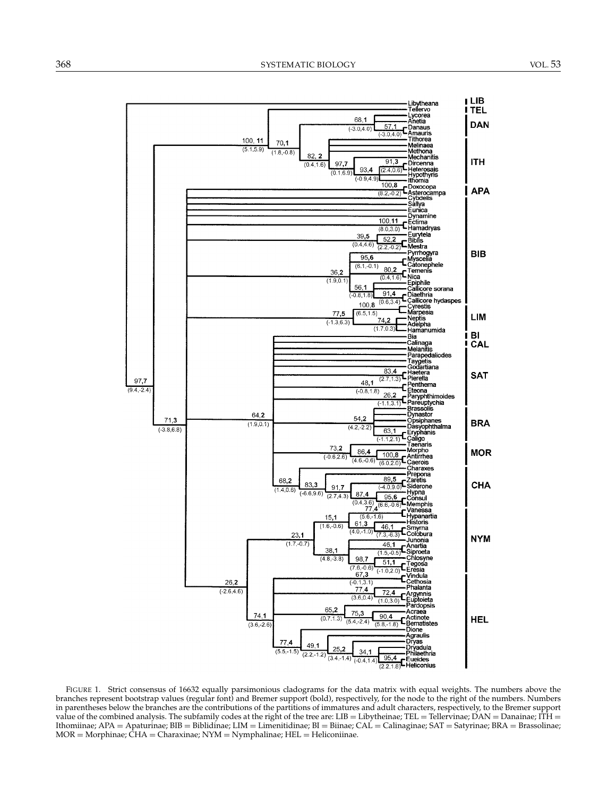

FIGURE 1. Strict consensus of 16632 equally parsimonious cladograms for the data matrix with equal weights. The numbers above the branches represent bootstrap values (regular font) and Bremer support (bold), respectively, for the node to the right of the numbers. Numbers in parentheses below the branches are the contributions of the partitions of immatures and adult characters, respectively, to the Bremer support value of the combined analysis. The subfamily codes at the right of the tree are: LIB = Libytheinae; TEL = Tellervinae; DAN = Danainae;  $\hat{I}TH$  = Ithomiinae; APA = Apaturinae; BIB = Biblidinae; LIM = Limenitidinae; BI = Biinae; CAL = Calinaginae; SAT = Satyrinae; BRA = Brassolinae;  $MOR = Morphina$ ;  $\hat{C}HA = Charaxina$ ;  $NYM = Nymphalina$ ;  $HEL = Heliconiina$ e.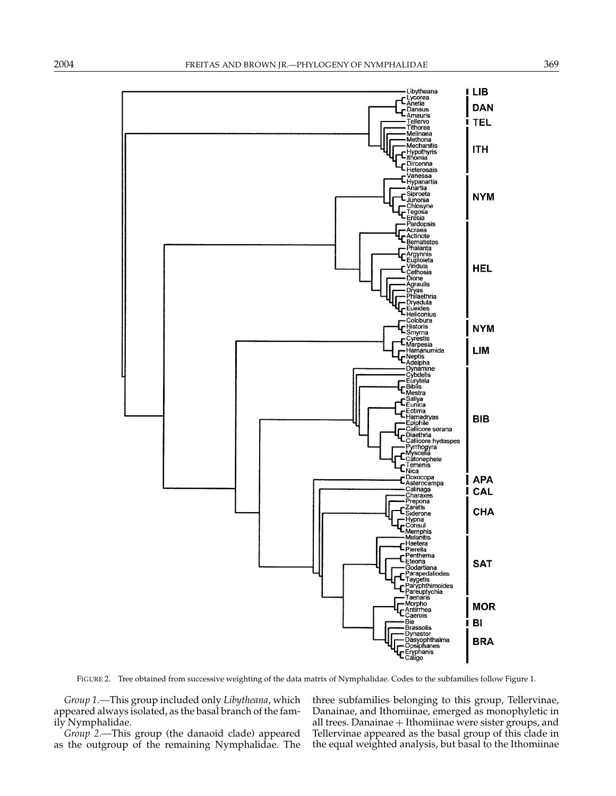

FIGURE 2. Tree obtained from successive weighting of the data matrix of Nymphalidae. Codes to the subfamilies follow Figure 1.

*Group 1.—*This group included only *Libytheana*, which appeared always isolated, as the basal branch of the family Nymphalidae.

*Group 2.—*This group (the danaoid clade) appeared as the outgroup of the remaining Nymphalidae. The three subfamilies belonging to this group, Tellervinae, Danainae, and Ithomiinae, emerged as monophyletic in all trees. Danainae + Ithomiinae were sister groups, and Tellervinae appeared as the basal group of this clade in the equal weighted analysis, but basal to the Ithomiinae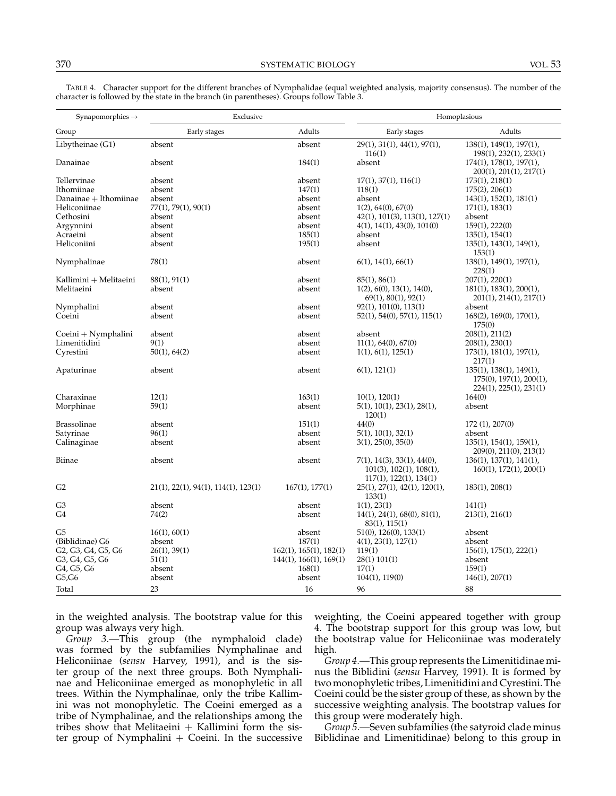| Synapomorphies $\rightarrow$ | Exclusive                           |                                | Homoplasious                                                                                        |                                                                                                |
|------------------------------|-------------------------------------|--------------------------------|-----------------------------------------------------------------------------------------------------|------------------------------------------------------------------------------------------------|
| Group                        | Early stages                        | Adults                         | Early stages                                                                                        | Adults                                                                                         |
| Libytheinae (G1)             | absent                              | absent                         | $29(1)$ , $31(1)$ , $44(1)$ , $97(1)$ ,<br>116(1)                                                   | $138(1)$ , $149(1)$ , $197(1)$ ,<br>198(1), 232(1), 233(1)                                     |
| Danainae                     | absent                              | 184(1)                         | absent                                                                                              | $174(1)$ , $178(1)$ , $197(1)$ ,<br>200(1), 201(1), 217(1)                                     |
| Tellervinae                  | absent                              | absent                         | 17(1), 37(1), 116(1)                                                                                | 173(1), 218(1)                                                                                 |
| Ithomiinae                   | absent                              | 147(1)                         | 118(1)                                                                                              | 175(2), 206(1)                                                                                 |
| Danainae + Ithomiinae        | absent                              | absent                         | absent                                                                                              | $143(1)$ , $152(1)$ , $181(1)$                                                                 |
| Heliconiinae                 | $77(1)$ , $79(1)$ , $90(1)$         | absent                         | 1(2), 64(0), 67(0)                                                                                  | 171(1), 183(1)                                                                                 |
| Cethosini                    | absent                              | absent                         | 42(1), 101(3), 113(1), 127(1)                                                                       | absent                                                                                         |
| Argynnini                    | absent                              | absent                         | $4(1)$ , $14(1)$ , $43(0)$ , $101(0)$                                                               | $159(1)$ , $222(0)$                                                                            |
| Acraeini                     | absent                              | 185(1)                         | absent                                                                                              | 135(1), 154(1)                                                                                 |
| Heliconiini                  | absent                              | 195(1)                         | absent                                                                                              | $135(1)$ , $143(1)$ , $149(1)$ ,                                                               |
|                              |                                     |                                |                                                                                                     | 153(1)                                                                                         |
| Nymphalinae                  | 78(1)                               | absent                         | $6(1)$ , 14(1), 66(1)                                                                               | $138(1)$ , $149(1)$ , $197(1)$ ,<br>228(1)                                                     |
| Kallimini + Melitaeini       | 88(1), 91(1)                        | absent                         | 85(1), 86(1)                                                                                        | 207(1), 220(1)                                                                                 |
| Melitaeini                   | absent                              | absent                         | 1(2), 6(0), 13(1), 14(0),                                                                           | $181(1)$ , $183(1)$ , $200(1)$ ,                                                               |
|                              |                                     |                                | $69(1)$ , $80(1)$ , $92(1)$                                                                         | 201(1), 214(1), 217(1)                                                                         |
| Nymphalini<br>Coeini         | absent<br>absent                    | absent<br>absent               | 92(1), 101(0), 113(1)<br>52(1), 54(0), 57(1), 115(1)                                                | absent<br>$168(2)$ , $169(0)$ , $170(1)$ ,                                                     |
|                              |                                     |                                |                                                                                                     | 175(0)                                                                                         |
| Coeini + Nymphalini          | absent                              | absent                         | absent                                                                                              | $208(1)$ , $211(2)$                                                                            |
| Limenitidini                 | 9(1)                                | absent                         | 11(1), 64(0), 67(0)                                                                                 | $208(1)$ , $230(1)$                                                                            |
| Cyrestini                    | $50(1)$ , $64(2)$                   | absent                         | 1(1), 6(1), 125(1)                                                                                  | $173(1)$ , $181(1)$ , $197(1)$ ,<br>217(1)                                                     |
| Apaturinae                   | absent                              | absent                         | $6(1)$ , 121 $(1)$                                                                                  | $135(1)$ , $138(1)$ , $149(1)$ ,<br>$175(0)$ , $197(1)$ , $200(1)$ ,<br>224(1), 225(1), 231(1) |
| Charaxinae                   | 12(1)                               | 163(1)                         | 10(1), 120(1)                                                                                       | 164(0)                                                                                         |
| Morphinae                    | 59(1)                               | absent                         | $5(1)$ , $10(1)$ , $23(1)$ , $28(1)$ ,<br>120(1)                                                    | absent                                                                                         |
| Brassolinae                  | absent                              | 151(1)                         | 44(0)                                                                                               | 172(1), 207(0)                                                                                 |
| Satyrinae                    | 96(1)                               | absent                         | $5(1)$ , $10(1)$ , $32(1)$                                                                          | absent                                                                                         |
| Calinaginae                  | absent                              | absent                         | 3(1), 25(0), 35(0)                                                                                  | $135(1)$ , $154(1)$ , $159(1)$ ,                                                               |
|                              |                                     |                                |                                                                                                     | 209(0), 211(0), 213(1)                                                                         |
| Biinae                       | absent                              | absent                         | $7(1)$ , 14(3), 33(1), 44(0),<br>$101(3)$ , $102(1)$ , $108(1)$ ,<br>$117(1)$ , $122(1)$ , $134(1)$ | $136(1)$ , $137(1)$ , $141(1)$ ,<br>$160(1)$ , $172(1)$ , $200(1)$                             |
| G <sub>2</sub>               | 21(1), 22(1), 94(1), 114(1), 123(1) | 167(1), 177(1)                 | $25(1)$ , $27(1)$ , $42(1)$ , $120(1)$ ,<br>133(1)                                                  | 183(1), 208(1)                                                                                 |
| G3                           | absent                              | absent                         | 1(1), 23(1)                                                                                         | 141(1)                                                                                         |
| G4                           | 74(2)                               | absent                         | $14(1)$ , $24(1)$ , $68(0)$ , $81(1)$ ,                                                             | 213(1), 216(1)                                                                                 |
|                              |                                     |                                | 83(1), 115(1)                                                                                       |                                                                                                |
| G <sub>5</sub>               | 16(1), 60(1)                        | absent                         | $51(0)$ , $126(0)$ , $133(1)$                                                                       | absent                                                                                         |
| (Biblidinae) G6              | absent                              | 187(1)                         | 4(1), 23(1), 127(1)                                                                                 | absent                                                                                         |
| G2, G3, G4, G5, G6           | $26(1)$ , 39(1)                     | $162(1)$ , $165(1)$ , $182(1)$ | 119(1)                                                                                              | $156(1)$ , $175(1)$ , $222(1)$                                                                 |
| G3, G4, G5, G6               | 51(1)                               | $144(1)$ , $166(1)$ , $169(1)$ | 28(1) 101(1)                                                                                        | absent                                                                                         |
| G4, G5, G6                   | absent                              | 168(1)                         | 17(1)                                                                                               | 159(1)                                                                                         |
| G5,G6                        | absent                              | absent                         | $104(1)$ , $119(0)$                                                                                 | 146(1), 207(1)                                                                                 |
|                              |                                     |                                |                                                                                                     |                                                                                                |
| Total                        | 23                                  | 16                             | 96                                                                                                  | 88                                                                                             |

TABLE 4. Character support for the different branches of Nymphalidae (equal weighted analysis, majority consensus). The number of the character is followed by the state in the branch (in parentheses). Groups follow Table 3.

in the weighted analysis. The bootstrap value for this group was always very high.

*Group 3.—*This group (the nymphaloid clade) was formed by the subfamilies Nymphalinae and Heliconiinae (*sensu* Harvey, 1991), and is the sister group of the next three groups. Both Nymphalinae and Heliconiinae emerged as monophyletic in all trees. Within the Nymphalinae, only the tribe Kallimini was not monophyletic. The Coeini emerged as a tribe of Nymphalinae, and the relationships among the tribes show that Melitaeini  $+$  Kallimini form the sister group of Nymphalini  $+$  Coeini. In the successive weighting, the Coeini appeared together with group 4. The bootstrap support for this group was low, but the bootstrap value for Heliconiinae was moderately high.

*Group 4.—*This group represents the Limenitidinae minus the Biblidini (*sensu* Harvey, 1991). It is formed by two monophyletic tribes, Limenitidini and Cyrestini. The Coeini could be the sister group of these, as shown by the successive weighting analysis. The bootstrap values for this group were moderately high.

*Group 5.—*Seven subfamilies (the satyroid clade minus Biblidinae and Limenitidinae) belong to this group in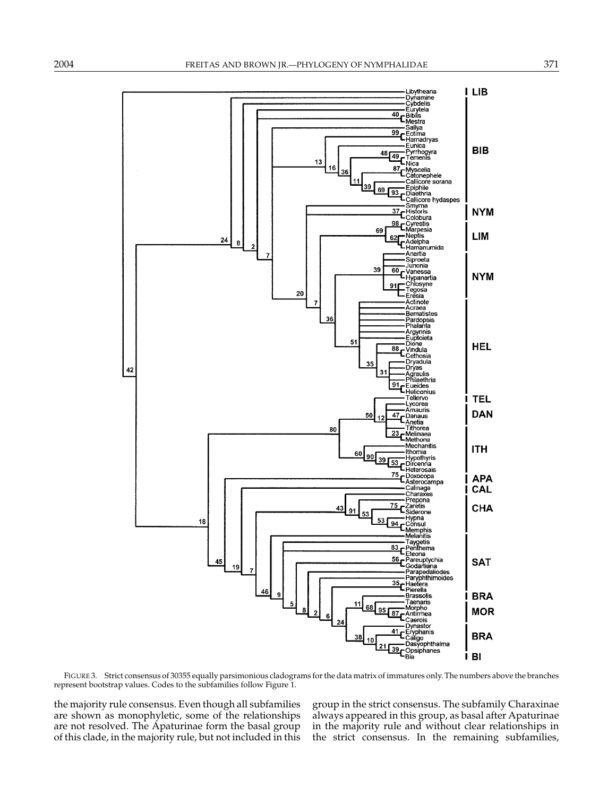

FIGURE 3. Strict consensus of 30355 equally parsimonious cladograms for the data matrix of immatures only. The numbers above the branches represent bootstrap values. Codes to the subfamilies follow Figure 1.

the majority rule consensus. Even though all subfamilies are shown as monophyletic, some of the relationships are not resolved. The Apaturinae form the basal group of this clade, in the majority rule, but not included in this group in the strict consensus. The subfamily Charaxinae always appeared in this group, as basal after Apaturinae in the majority rule and without clear relationships in the strict consensus. In the remaining subfamilies,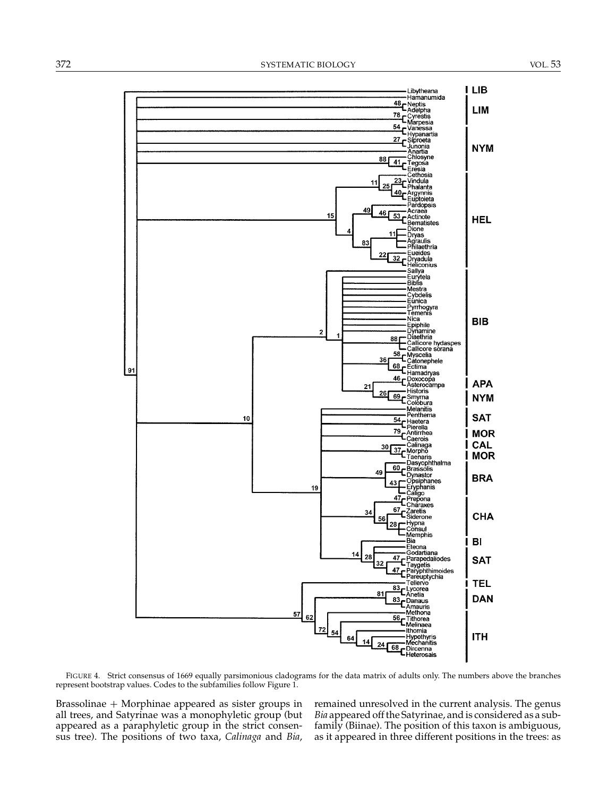

FIGURE 4. Strict consensus of 1669 equally parsimonious cladograms for the data matrix of adults only. The numbers above the branches represent bootstrap values. Codes to the subfamilies follow Figure 1.

Brassolinae + Morphinae appeared as sister groups in all trees, and Satyrinae was a monophyletic group (but appeared as a paraphyletic group in the strict consensus tree). The positions of two taxa, *Calinaga* and *Bia*, remained unresolved in the current analysis. The genus *Bia* appeared off the Satyrinae, and is considered as a subfamily (Biinae). The position of this taxon is ambiguous, as it appeared in three different positions in the trees: as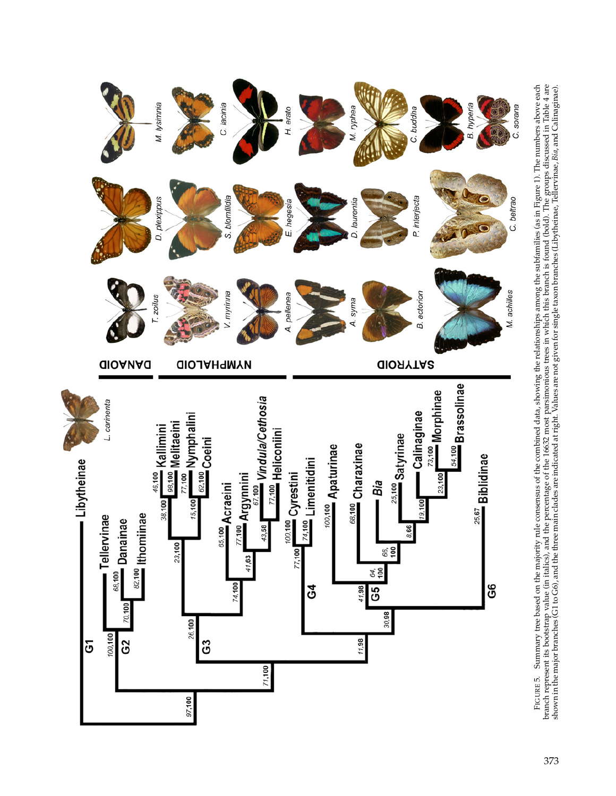

FIGURE 5. Summary tree based on the majority rule consensus of the combined data, showing the relationships among the subfamilies (as in Figure 1). The numbers above each branch represent its bootstrap value (in italics), FIGURE 5. Summary tree based on the majority rule consensus of the combined data, showing the relationships among the subfamilies (as in Figure 1). The numbers above each branch represent its bootstrap value (in italics), and the percentage of the 16632 most parsimonious trees in which this branch is found (bold). The groups discussed in Table 4 are shown in the major branches (G1 to G6), and the three main clades are indicated at right. Values are not given for single taxon branches (Libytheinae, Tellervinae, *Bia*, and Calinaginae).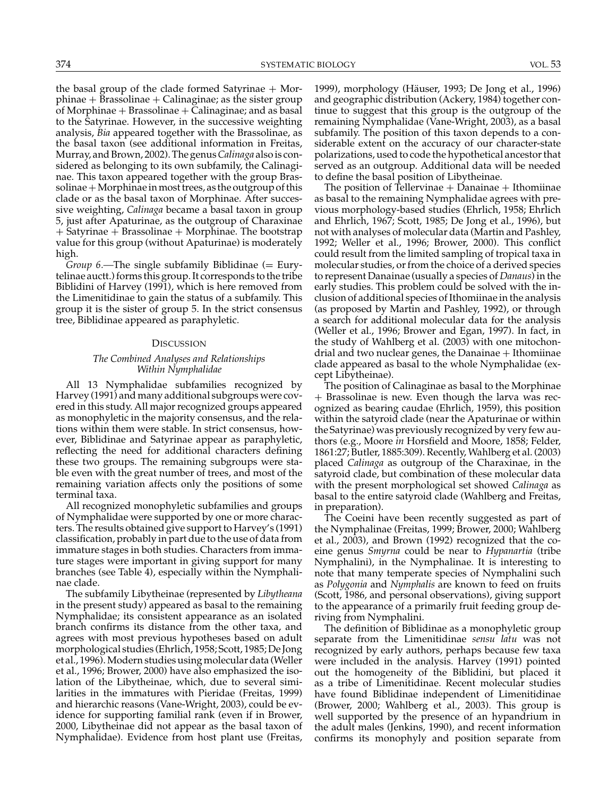the basal group of the clade formed Satyrinae  $+$  Mor $phinae + Brassolinae + Calinagine;$  as the sister group of Morphinae  $+$  Brassolinae  $+$  Calinaginae; and as basal to the Satyrinae. However, in the successive weighting analysis, *Bia* appeared together with the Brassolinae, as the basal taxon (see additional information in Freitas, Murray, and Brown, 2002). The genus*Calinaga* also is considered as belonging to its own subfamily, the Calinaginae. This taxon appeared together with the group Bras $solinae+Morphinae$  in most trees, as the outgroup of this clade or as the basal taxon of Morphinae. After successive weighting, *Calinaga* became a basal taxon in group 5, just after Apaturinae, as the outgroup of Charaxinae + Satyrinae + Brassolinae + Morphinae. The bootstrap value for this group (without Apaturinae) is moderately high.

*Group 6.*—The single subfamily Biblidinae (= Eurytelinae auctt.) forms this group. It corresponds to the tribe Biblidini of Harvey (1991), which is here removed from the Limenitidinae to gain the status of a subfamily. This group it is the sister of group 5. In the strict consensus tree, Biblidinae appeared as paraphyletic.

## **DISCUSSION**

# *The Combined Analyses and Relationships Within Nymphalidae*

All 13 Nymphalidae subfamilies recognized by Harvey (1991) and many additional subgroups were covered in this study. All major recognized groups appeared as monophyletic in the majority consensus, and the relations within them were stable. In strict consensus, however, Biblidinae and Satyrinae appear as paraphyletic, reflecting the need for additional characters defining these two groups. The remaining subgroups were stable even with the great number of trees, and most of the remaining variation affects only the positions of some terminal taxa.

All recognized monophyletic subfamilies and groups of Nymphalidae were supported by one or more characters. The results obtained give support to Harvey's (1991) classification, probably in part due to the use of data from immature stages in both studies. Characters from immature stages were important in giving support for many branches (see Table 4), especially within the Nymphalinae clade.

The subfamily Libytheinae (represented by *Libytheana* in the present study) appeared as basal to the remaining Nymphalidae; its consistent appearance as an isolated branch confirms its distance from the other taxa, and agrees with most previous hypotheses based on adult morphological studies (Ehrlich, 1958; Scott, 1985; De Jong et al., 1996). Modern studies using molecular data (Weller et al., 1996; Brower, 2000) have also emphasized the isolation of the Libytheinae, which, due to several similarities in the immatures with Pieridae (Freitas, 1999) and hierarchic reasons (Vane-Wright, 2003), could be evidence for supporting familial rank (even if in Brower, 2000, Libytheinae did not appear as the basal taxon of Nymphalidae). Evidence from host plant use (Freitas,

1999), morphology (Hauser, 1993; De Jong et al., 1996) ¨ and geographic distribution (Ackery, 1984) together continue to suggest that this group is the outgroup of the remaining Nymphalidae (Vane-Wright, 2003), as a basal subfamily. The position of this taxon depends to a considerable extent on the accuracy of our character-state polarizations, used to code the hypothetical ancestor that served as an outgroup. Additional data will be needed to define the basal position of Libytheinae.

The position of Tellervinae  $+$  Danainae  $+$  Ithomiinae as basal to the remaining Nymphalidae agrees with previous morphology-based studies (Ehrlich, 1958; Ehrlich and Ehrlich, 1967; Scott, 1985; De Jong et al., 1996), but not with analyses of molecular data (Martin and Pashley, 1992; Weller et al., 1996; Brower, 2000). This conflict could result from the limited sampling of tropical taxa in molecular studies, or from the choice of a derived species to represent Danainae (usually a species of *Danaus*) in the early studies. This problem could be solved with the inclusion of additional species of Ithomiinae in the analysis (as proposed by Martin and Pashley, 1992), or through a search for additional molecular data for the analysis (Weller et al., 1996; Brower and Egan, 1997). In fact, in the study of Wahlberg et al. (2003) with one mitochondrial and two nuclear genes, the Danainae + Ithomiinae clade appeared as basal to the whole Nymphalidae (except Libytheinae).

The position of Calinaginae as basal to the Morphinae + Brassolinae is new. Even though the larva was recognized as bearing caudae (Ehrlich, 1959), this position within the satyroid clade (near the Apaturinae or within the Satyrinae) was previously recognized by very few authors (e.g., Moore *in* Horsfield and Moore, 1858; Felder, 1861:27; Butler, 1885:309). Recently, Wahlberg et al. (2003) placed *Calinaga* as outgroup of the Charaxinae, in the satyroid clade, but combination of these molecular data with the present morphological set showed *Calinaga* as basal to the entire satyroid clade (Wahlberg and Freitas, in preparation).

The Coeini have been recently suggested as part of the Nymphalinae (Freitas, 1999; Brower, 2000; Wahlberg et al., 2003), and Brown (1992) recognized that the coeine genus *Smyrna* could be near to *Hypanartia* (tribe Nymphalini), in the Nymphalinae. It is interesting to note that many temperate species of Nymphalini such as *Polygonia* and *Nymphalis* are known to feed on fruits (Scott, 1986, and personal observations), giving support to the appearance of a primarily fruit feeding group deriving from Nymphalini.

The definition of Biblidinae as a monophyletic group separate from the Limenitidinae *sensu latu* was not recognized by early authors, perhaps because few taxa were included in the analysis. Harvey (1991) pointed out the homogeneity of the Biblidini, but placed it as a tribe of Limenitidinae. Recent molecular studies have found Biblidinae independent of Limenitidinae (Brower, 2000; Wahlberg et al., 2003). This group is well supported by the presence of an hypandrium in the adult males (Jenkins, 1990), and recent information confirms its monophyly and position separate from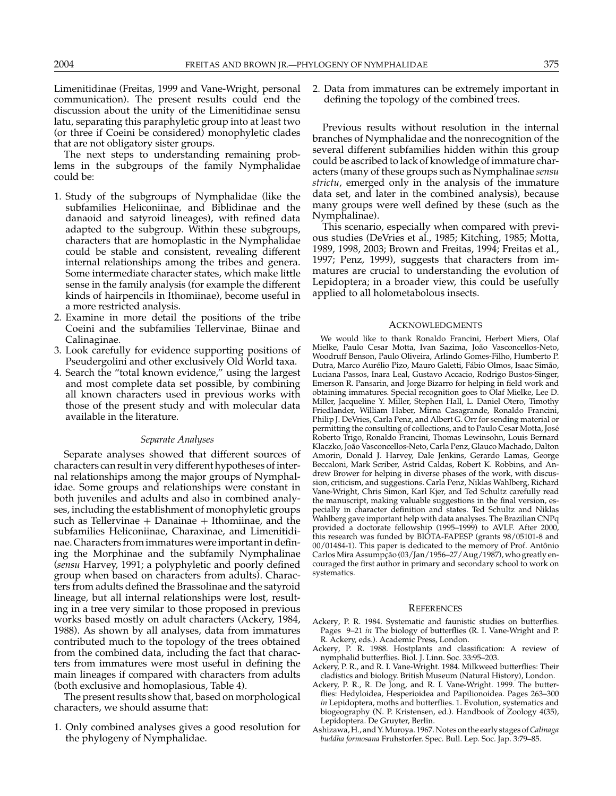Limenitidinae (Freitas, 1999 and Vane-Wright, personal communication). The present results could end the discussion about the unity of the Limenitidinae sensu latu, separating this paraphyletic group into at least two (or three if Coeini be considered) monophyletic clades that are not obligatory sister groups.

The next steps to understanding remaining problems in the subgroups of the family Nymphalidae could be:

- 1. Study of the subgroups of Nymphalidae (like the subfamilies Heliconiinae, and Biblidinae and the danaoid and satyroid lineages), with refined data adapted to the subgroup. Within these subgroups, characters that are homoplastic in the Nymphalidae could be stable and consistent, revealing different internal relationships among the tribes and genera. Some intermediate character states, which make little sense in the family analysis (for example the different kinds of hairpencils in Ithomiinae), become useful in a more restricted analysis.
- 2. Examine in more detail the positions of the tribe Coeini and the subfamilies Tellervinae, Biinae and Calinaginae.
- 3. Look carefully for evidence supporting positions of Pseudergolini and other exclusively Old World taxa.
- 4. Search the "total known evidence," using the largest and most complete data set possible, by combining all known characters used in previous works with those of the present study and with molecular data available in the literature.

## *Separate Analyses*

Separate analyses showed that different sources of characters can result in very different hypotheses of internal relationships among the major groups of Nymphalidae. Some groups and relationships were constant in both juveniles and adults and also in combined analyses, including the establishment of monophyletic groups such as Tellervinae  $+$  Danainae  $+$  Ithomiinae, and the subfamilies Heliconiinae, Charaxinae, and Limenitidinae. Characters from immatures were important in defining the Morphinae and the subfamily Nymphalinae (*sensu* Harvey, 1991; a polyphyletic and poorly defined group when based on characters from adults). Characters from adults defined the Brassolinae and the satyroid lineage, but all internal relationships were lost, resulting in a tree very similar to those proposed in previous works based mostly on adult characters (Ackery, 1984, 1988). As shown by all analyses, data from immatures contributed much to the topology of the trees obtained from the combined data, including the fact that characters from immatures were most useful in defining the main lineages if compared with characters from adults (both exclusive and homoplasious, Table 4).

The present results show that, based on morphological characters, we should assume that:

1. Only combined analyses gives a good resolution for the phylogeny of Nymphalidae.

2. Data from immatures can be extremely important in defining the topology of the combined trees.

Previous results without resolution in the internal branches of Nymphalidae and the nonrecognition of the several different subfamilies hidden within this group could be ascribed to lack of knowledge of immature characters (many of these groups such as Nymphalinae *sensu strictu*, emerged only in the analysis of the immature data set, and later in the combined analysis), because many groups were well defined by these (such as the Nymphalinae).

This scenario, especially when compared with previous studies (DeVries et al., 1985; Kitching, 1985; Motta, 1989, 1998, 2003; Brown and Freitas, 1994; Freitas et al., 1997; Penz, 1999), suggests that characters from immatures are crucial to understanding the evolution of Lepidoptera; in a broader view, this could be usefully applied to all holometabolous insects.

#### ACKNOWLEDGMENTS

We would like to thank Ronaldo Francini, Herbert Miers, Olaf Mielke, Paulo Cesar Motta, Ivan Sazima, João Vasconcellos-Neto, Woodruff Benson, Paulo Oliveira, Arlindo Gomes-Filho, Humberto P. Dutra, Marco Aurélio Pizo, Mauro Galetti, Fábio Olmos, Isaac Simão, Luciana Passos, Inara Leal, Gustavo Accacio, Rodrigo Bustos-Singer, Emerson R. Pansarin, and Jorge Bizarro for helping in field work and obtaining immatures. Special recognition goes to Olaf Mielke, Lee D. Miller, Jacqueline Y. Miller, Stephen Hall, L. Daniel Otero, Timothy Friedlander, William Haber, Mirna Casagrande, Ronaldo Francini, Philip J. DeVries, Carla Penz, and Albert G. Orr for sending material or permitting the consulting of collections, and to Paulo Cesar Motta, Jose´ Roberto Trigo, Ronaldo Francini, Thomas Lewinsohn, Louis Bernard Klaczko, João Vasconcellos-Neto, Carla Penz, Glauco Machado, Dalton Amorin, Donald J. Harvey, Dale Jenkins, Gerardo Lamas, George Beccaloni, Mark Scriber, Astrid Caldas, Robert K. Robbins, and Andrew Brower for helping in diverse phases of the work, with discussion, criticism, and suggestions. Carla Penz, Niklas Wahlberg, Richard Vane-Wright, Chris Simon, Karl Kjer, and Ted Schultz carefully read the manuscript, making valuable suggestions in the final version, especially in character definition and states. Ted Schultz and Niklas Wahlberg gave important help with data analyses. The Brazilian CNPq provided a doctorate fellowship (1995–1999) to AVLF. After 2000, this research was funded by BIOTA-FAPESP (grants 98/05101-8 and 00/01484-1). This paper is dedicated to the memory of Prof. Antônio Carlos Mira Assumpção (03/Jan/1956-27/Aug/1987), who greatly encouraged the first author in primary and secondary school to work on systematics.

#### **REFERENCES**

- Ackery, P. R. 1984. Systematic and faunistic studies on butterflies. Pages 9–21 *in* The biology of butterflies (R. I. Vane-Wright and P. R. Ackery, eds.). Academic Press, London.
- Ackery, P. R. 1988. Hostplants and classification: A review of nymphalid butterflies. Biol. J. Linn. Soc. 33:95–203.
- Ackery, P. R., and R. I. Vane-Wright. 1984. Milkweed butterflies: Their cladistics and biology. British Museum (Natural History), London.
- Ackery, P. R., R. De Jong, and R. I. Vane-Wright. 1999. The butterflies: Hedyloidea, Hesperioidea and Papilionoidea. Pages 263–300 *in* Lepidoptera, moths and butterflies. 1. Evolution, systematics and biogeography (N. P. Kristensen, ed.). Handbook of Zoology 4(35), Lepidoptera. De Gruyter, Berlin.
- Ashizawa, H., and Y. Muroya. 1967. Notes on the early stages of*Calinaga buddha formosana* Fruhstorfer. Spec. Bull. Lep. Soc. Jap. 3:79–85.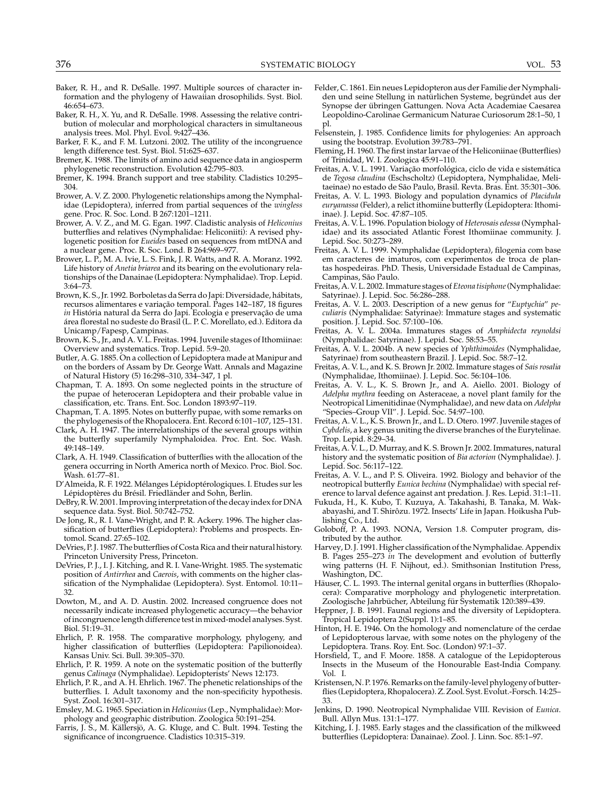- Baker, R. H., and R. DeSalle. 1997. Multiple sources of character information and the phylogeny of Hawaiian drosophilids. Syst. Biol. 46:654–673.
- Baker, R. H., X. Yu, and R. DeSalle. 1998. Assessing the relative contribution of molecular and morphological characters in simultaneous analysis trees. Mol. Phyl. Evol. 9**:**427–436.
- Barker, F. K., and F. M. Lutzoni. 2002. The utility of the incongruence length difference test. Syst. Biol. 51**:**625–637.
- Bremer, K. 1988. The limits of amino acid sequence data in angiosperm phylogenetic reconstruction. Evolution 42:795–803.
- Bremer, K. 1994. Branch support and tree stability. Cladistics 10:295– 304.
- Brower, A. V. Z. 2000. Phylogenetic relationships among the Nymphalidae (Lepidoptera), inferred from partial sequences of the *wingless* gene. Proc. R. Soc. Lond. B 267:1201–1211.
- Brower, A. V. Z., and M. G. Egan. 1997. Cladistic analysis of *Heliconius* butterflies and relatives (Nymphalidae: Heliconiiti): A revised phylogenetic position for *Eueides* based on sequences from mtDNA and a nuclear gene. Proc. R. Soc. Lond. B 264:969–977.
- Brower, L. P., M. A. Ivie, L. S. Fink, J. R. Watts, and R. A. Moranz. 1992. Life history of *Anetia briarea* and its bearing on the evolutionary relationships of the Danainae (Lepidoptera: Nymphalidae). Trop. Lepid. 3:64–73.
- Brown, K. S., Jr. 1992. Borboletas da Serra do Japi: Diversidade, habitats, ´ recursos alimentares e variação temporal. Pages 142-187, 18 figures *in* História natural da Serra do Japi. Ecologia e preservação de uma área florestal no sudeste do Brasil (L. P. C. Morellato, ed.). Editora da Unicamp/Fapesp, Campinas.
- Brown, K. S., Jr., and A. V. L. Freitas. 1994. Juvenile stages of Ithomiinae: Overview and systematics. Trop. Lepid. 5:9–20.
- Butler, A. G. 1885. On a collection of Lepidoptera made at Manipur and on the borders of Assam by Dr. George Watt. Annals and Magazine of Natural History (5) 16:298–310, 334–347, 1 pl.
- Chapman, T. A. 1893. On some neglected points in the structure of the pupae of heteroceran Lepidoptera and their probable value in classification, etc. Trans. Ent. Soc. London 1893:97–119.
- Chapman, T. A. 1895. Notes on butterfly pupae, with some remarks on the phylogenesis of the Rhopalocera. Ent. Record 6:101–107, 125–131.
- Clark, A. H. 1947. The interrelationships of the several groups within the butterfly superfamily Nymphaloidea. Proc. Ent. Soc. Wash. 49:148–149.
- Clark, A. H. 1949. Classification of butterflies with the allocation of the genera occurring in North America north of Mexico. Proc. Biol. Soc. Wash. 61:77–81.
- D'Almeida, R. F. 1922. Mélanges Lépidoptérologiques. I. Etudes sur les Lépidoptères du Brésil. Friedländer and Sohn, Berlin.
- DeBry, R. W. 2001. Improving interpretation of the decay index for DNA sequence data. Syst. Biol. 50:742–752.
- De Jong, R., R. I. Vane-Wright, and P. R. Ackery. 1996. The higher classification of butterflies (Lepidoptera): Problems and prospects. Entomol. Scand. 27:65–102.
- DeVries, P. J. 1987. The butterflies of Costa Rica and their natural history. Princeton University Press, Princeton.
- DeVries, P. J., I. J. Kitching, and R. I. Vane-Wright. 1985. The systematic position of *Antirrhea* and *Caerois*, with comments on the higher classification of the Nymphalidae (Lepidoptera). Syst. Entomol. 10:11– 32.
- Dowton, M., and A. D. Austin. 2002. Increased congruence does not necessarily indicate increased phylogenetic accuracy—the behavior of incongruence length difference test in mixed-model analyses. Syst. Biol. 51:19–31.
- Ehrlich, P. R. 1958. The comparative morphology, phylogeny, and higher classification of butterflies (Lepidoptera: Papilionoidea). Kansas Univ. Sci. Bull. 39:305–370.
- Ehrlich, P. R. 1959. A note on the systematic position of the butterfly genus *Calinaga* (Nymphalidae). Lepidopterists' News 12:173.
- Ehrlich, P. R., and A. H. Ehrlich. 1967. The phenetic relationships of the butterflies. I. Adult taxonomy and the non-specificity hypothesis. Syst. Zool. 16:301–317.
- Emsley, M. G. 1965. Speciation in *Heliconius*(Lep., Nymphalidae): Morphology and geographic distribution. Zoologica 50:191–254.
- Farris, J. S., M. Källersjö, A. G. Kluge, and C. Bult. 1994. Testing the significance of incongruence. Cladistics 10:315–319.
- Felder, C. 1861. Ein neues Lepidopteron aus der Familie der Nymphaliden und seine Stellung in natürlichen Systeme, begründet aus der Synopse der übringen Gattungen. Nova Acta Academiae Caesarea Leopoldino-Carolinae Germanicum Naturae Curiosorum 28:1–50, 1 pl.
- Felsenstein, J. 1985. Confidence limits for phylogenies: An approach using the bootstrap. Evolution 39:783–791.
- Fleming, H. 1960. The first instar larvae of the Heliconiinae (Butterflies) of Trinidad, W. I. Zoologica 45:91–110.
- Freitas, A. V. L. 1991. Variação morfológica, ciclo de vida e sistemática de *Tegosa claudina* (Eschscholtz) (Lepidoptera, Nymphalidae, Melitaeinae) no estado de São Paulo, Brasil. Revta. Bras. Ent. 35:301-306.
- Freitas, A. V. L. 1993. Biology and population dynamics of *Placidula euryanassa* (Felder), a relict ithomiine butterfly (Lepidoptera: Ithomiinae). J. Lepid. Soc. 47:87–105.
- Freitas, A. V. L. 1996. Population biology of *Heterosais edessa* (Nymphalidae) and its associated Atlantic Forest Ithomiinae community. J. Lepid. Soc. 50:273–289.
- Freitas, A. V. L. 1999. Nymphalidae (Lepidoptera), filogenia com base em caracteres de imaturos, com experimentos de troca de plantas hospedeiras. PhD. Thesis, Universidade Estadual de Campinas, Campinas, São Paulo.
- Freitas, A. V. L. 2002. Immature stages of*Eteona tisiphone*(Nymphalidae: Satyrinae). J. Lepid. Soc. 56:286–288.
- Freitas, A. V. L. 2003. Description of a new genus for "*Euptychia*" *peculiaris* (Nymphalidae: Satyrinae): Immature stages and systematic position. J. Lepid. Soc. 57:100–106.
- Freitas, A. V. L. 2004a. Immatures stages of *Amphidecta reynoldsi* (Nymphalidae: Satyrinae). J. Lepid. Soc. 58:53–55.
- Freitas, A. V. L. 2004b. A new species of *Yphthimoides* (Nymphalidae, Satyrinae) from southeastern Brazil. J. Lepid. Soc. 58:7–12.
- Freitas, A. V. L., and K. S. Brown Jr. 2002. Immature stages of *Sais rosalia* (Nymphalidae, Ithomiinae). J. Lepid. Soc. 56:104–106.
- Freitas, A. V. L., K. S. Brown Jr., and A. Aiello. 2001. Biology of *Adelpha mythra* feeding on Asteraceae, a novel plant family for the Neotropical Limenitidinae (Nymphalidae), and new data on *Adelpha* "Species–Group VII". J. Lepid. Soc. 54:97–100.
- Freitas, A. V. L., K. S. Brown Jr., and L. D. Otero. 1997. Juvenile stages of *Cybdelis*, a key genus uniting the diverse branches of the Eurytelinae. Trop. Lepid. 8:29–34.
- Freitas, A. V. L., D. Murray, and K. S. Brown Jr. 2002. Immatures, natural history and the systematic position of *Bia actorion* (Nymphalidae). J. Lepid. Soc. 56:117–122.
- Freitas, A. V. L., and P. S. Oliveira. 1992. Biology and behavior of the neotropical butterfly *Eunica bechina* (Nymphalidae) with special reference to larval defence against ant predation. J. Res. Lepid. 31:1–11.
- Fukuda, H., K. Kubo, T. Kuzuya, A. Takahashi, B. Tanaka, M. Wakabayashi, and T. Shirôzu. 1972. Insects' Life in Japan. Hoikusha Publishing Co., Ltd.
- Goloboff, P. A. 1993. NONA, Version 1.8. Computer program, distributed by the author.
- Harvey, D. J. 1991. Higher classification of the Nymphalidae. Appendix B. Pages 255–273 *in* The development and evolution of butterfly wing patterns (H. F. Nijhout, ed.). Smithsonian Institution Press, Washington, DC.
- Häuser, C. L. 1993. The internal genital organs in butterflies (Rhopalocera): Comparative morphology and phylogenetic interpretation. Zoologische Jahrbücher, Abteilung für Systematik 120:389-439.
- Heppner, J. B. 1991. Faunal regions and the diversity of Lepidoptera. Tropical Lepidoptera 2(Suppl. 1):1–85.
- Hinton, H. E. 1946. On the homology and nomenclature of the cerdae of Lepidopterous larvae, with some notes on the phylogeny of the Lepidoptera. Trans. Roy. Ent. Soc. (London) 97:1–37.
- Horsfield, T., and F. Moore. 1858. A catalogue of the Lepidopterous Insects in the Museum of the Honourable East-India Company. Vol. I.
- Kristensen, N. P. 1976. Remarks on the family-level phylogeny of butterflies (Lepidoptera, Rhopalocera). Z. Zool. Syst. Evolut.-Forsch. 14:25– 33.
- Jenkins, D. 1990. Neotropical Nymphalidae VIII. Revision of *Eunica*. Bull. Allyn Mus. 131:1–177.
- Kitching, I. J. 1985. Early stages and the classification of the milkweed butterflies (Lepidoptera: Danainae). Zool. J. Linn. Soc. 85:1–97.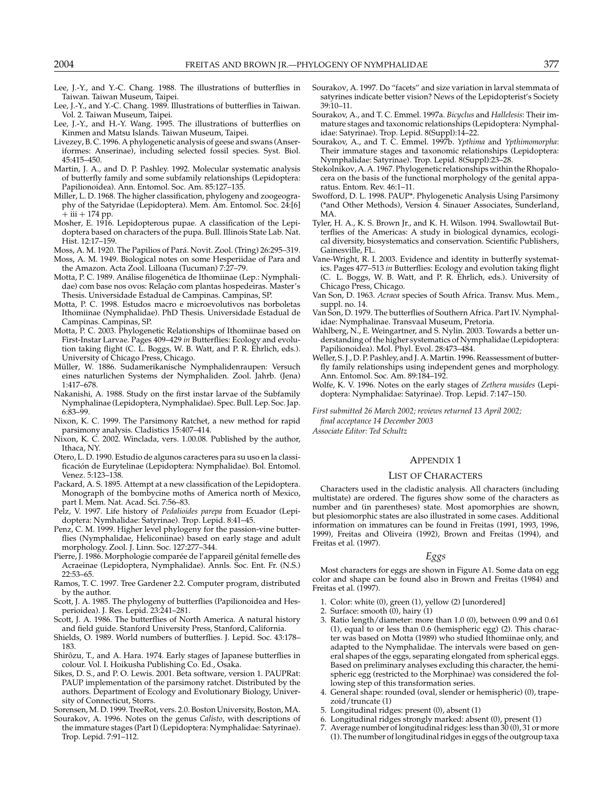- Lee, J.-Y., and Y.-C. Chang. 1988. The illustrations of butterflies in Taiwan. Taiwan Museum, Taipei.
- Lee, J.-Y., and Y.-C. Chang. 1989. Illustrations of butterflies in Taiwan. Vol. 2. Taiwan Museum, Taipei.
- Lee, J.-Y., and H.-Y. Wang. 1995. The illustrations of butterflies on Kinmen and Matsu Islands. Taiwan Museum, Taipei.
- Livezey, B. C. 1996. A phylogenetic analysis of geese and swans (Anseriformes: Anserinae), including selected fossil species. Syst. Biol. 45:415–450.
- Martin, J. A., and D. P. Pashley. 1992. Molecular systematic analysis of butterfly family and some subfamily relationships (Lepidoptera: Papilionoidea). Ann. Entomol. Soc. Am. 85:127–135.
- Miller, L. D. 1968. The higher classification, phylogeny and zoogeography of the Satyridae (Lepidoptera). Mem. Am. Entomol. Soc. 24:[6]  $+$  iii  $+$  174 pp.
- Mosher, E. 1916. Lepidopterous pupae. A classification of the Lepidoptera based on characters of the pupa. Bull. Illinois State Lab. Nat. Hist. 12:17–159.
- Moss, A. M. 1920. The Papilios of Pará. Novit. Zool. (Tring) 26:295-319.
- Moss, A. M. 1949. Biological notes on some Hesperiidae of Para and the Amazon. Acta Zool. Lilloana (Tucuman) 7:27–79.
- Motta, P. C. 1989. Análise filogenética de Ithomiinae (Lep.: Nymphalidae) com base nos ovos: Relação com plantas hospedeiras. Master's Thesis. Universidade Estadual de Campinas. Campinas, SP.
- Motta, P. C. 1998. Estudos macro e microevolutivos nas borboletas Ithomiinae (Nymphalidae). PhD Thesis. Universidade Estadual de Campinas. Campinas, SP.
- Motta, P. C. 2003. Phylogenetic Relationships of Ithomiinae based on First-Instar Larvae. Pages 409–429 *in* Butterflies: Ecology and evolution taking flight (C. L. Boggs, W. B. Watt, and P. R. Ehrlich, eds.). University of Chicago Press, Chicago.
- Müller, W. 1886. Sudamerikanische Nymphalidenraupen: Versuch eines naturlichen Systems der Nymphaliden. Zool. Jahrb. (Jena) 1:417–678.
- Nakanishi, A. 1988. Study on the first instar larvae of the Subfamily Nymphalinae (Lepidoptera, Nymphalidae). Spec. Bull. Lep. Soc. Jap. 6:83–99.
- Nixon, K. C. 1999. The Parsimony Ratchet, a new method for rapid parsimony analysis. Cladistics 15:407–414.
- Nixon, K. C. 2002. Winclada, vers. 1.00.08. Published by the author, Ithaca, NY.
- Otero, L. D. 1990. Estudio de algunos caracteres para su uso en la classificación de Eurytelinae (Lepidoptera: Nymphalidae). Bol. Entomol. Venez. 5:123–138.
- Packard, A. S. 1895. Attempt at a new classification of the Lepidoptera. Monograph of the bombycine moths of America north of Mexico, part I. Mem. Nat. Acad. Sci. 7:56–83.
- Pelz, V. 1997. Life history of *Pedalioides parepa* from Ecuador (Lepidoptera: Nymhalidae: Satyrinae). Trop. Lepid. 8:41–45.
- Penz, C. M. 1999. Higher level phylogeny for the passion-vine butterflies (Nymphalidae, Heliconiinae) based on early stage and adult morphology. Zool. J. Linn. Soc. 127:277–344.
- Pierre, J. 1986. Morphologie comparée de l'appareil génital femelle des Acraeinae (Lepidoptera, Nymphalidae). Annls. Soc. Ent. Fr. (N.S.) 22:53–65.
- Ramos, T. C. 1997. Tree Gardener 2.2. Computer program, distributed by the author.
- Scott, J. A. 1985. The phylogeny of butterflies (Papilionoidea and Hesperioidea). J. Res. Lepid. 23:241–281.
- Scott, J. A. 1986. The butterflies of North America. A natural history and field guide. Stanford University Press, Stanford, California.
- Shields, O. 1989. World numbers of butterflies. J. Lepid. Soc. 43:178– 183.
- Shirôzu, T., and A. Hara. 1974. Early stages of Japanese butterflies in colour. Vol. I. Hoikusha Publishing Co. Ed., Osaka.
- Sikes, D. S., and P. O. Lewis. 2001. Beta software, version 1. PAUPRat: PAUP implementation of the parsimony ratchet. Distributed by the authors. Department of Ecology and Evolutionary Biology, University of Connecticut, Storrs.
- Sorensen, M. D. 1999. TreeRot, vers. 2.0. Boston University, Boston, MA.
- Sourakov, A. 1996. Notes on the genus *Calisto*, with descriptions of the immature stages (Part I) (Lepidoptera: Nymphalidae: Satyrinae). Trop. Lepid. 7:91–112.
- Sourakov, A. 1997. Do "facets" and size variation in larval stemmata of satyrines indicate better vision? News of the Lepidopterist's Society 39:10–11.
- Sourakov, A., and T. C. Emmel. 1997a. *Bicyclus* and *Hallelesis*: Their immature stages and taxonomic relationships (Lepidoptera: Nymphalidae: Satyrinae). Trop. Lepid. 8(Suppl):14–22.
- Sourakov, A., and T. C. Emmel. 1997b. *Ypthima* and *Ypthimomorpha*: Their immature stages and taxonomic relationships (Lepidoptera: Nymphalidae: Satyrinae). Trop. Lepid. 8(Suppl):23–28.
- Stekolnikov, A. A. 1967. Phylogenetic relationships within the Rhopalocera on the basis of the functional morphology of the genital apparatus. Entom. Rev. 46:1–11.
- Swofford, D. L. 1998. PAUP\*. Phylogenetic Analysis Using Parsimony (\*and Other Methods), Version 4. Sinauer Associates, Sunderland, MA.
- Tyler, H. A., K. S. Brown Jr., and K. H. Wilson. 1994. Swallowtail Butterflies of the Americas: A study in biological dynamics, ecological diversity, biosystematics and conservation. Scientific Publishers, Gainesville, FL.
- Vane-Wright, R. I. 2003. Evidence and identity in butterfly systematics. Pages 477–513 *in* Butterflies: Ecology and evolution taking flight (C. L. Boggs, W. B. Watt, and P. R. Ehrlich, eds.). University of Chicago Press, Chicago.
- Van Son, D. 1963. *Acraea* species of South Africa. Transv. Mus. Mem., suppl. no. 14.
- Van Son, D. 1979. The butterflies of Southern Africa. Part IV. Nymphalidae: Nymphalinae. Transvaal Museum, Pretoria.
- Wahlberg, N., E. Weingartner, and S. Nylin. 2003. Towards a better understanding of the higher systematics of Nymphalidae (Lepidoptera: Papilionoidea). Mol. Phyl. Evol. 28:473–484.
- Weller, S. J., D. P. Pashley, and J. A. Martin. 1996. Reassessment of butterfly family relationships using independent genes and morphology. Ann. Entomol. Soc. Am. 89:184–192.
- Wolfe, K. V. 1996. Notes on the early stages of *Zethera musides* (Lepidoptera: Nymphalidae: Satyrinae). Trop. Lepid. 7:147–150.
- *First submitted 26 March 2002; reviews returned 13 April 2002;*

*final acceptance 14 December 2003*

*Associate Editor: Ted Schultz*

#### APPENDIX 1

# LIST OF CHARACTERS

Characters used in the cladistic analysis. All characters (including multistate) are ordered. The figures show some of the characters as number and (in parentheses) state. Most apomorphies are shown, but plesiomorphic states are also illustrated in some cases. Additional information on immatures can be found in Freitas (1991, 1993, 1996, 1999), Freitas and Oliveira (1992), Brown and Freitas (1994), and Freitas et al. (1997).

#### *Eggs*

Most characters for eggs are shown in Figure A1. Some data on egg color and shape can be found also in Brown and Freitas (1984) and Freitas et al. (1997).

- 1. Color: white (0), green (1), yellow (2) [unordered]
- 2. Surface: smooth (0), hairy (1)
- 3. Ratio length/diameter: more than 1.0 (0), between 0.99 and 0.61 (1), equal to or less than 0.6 (hemispheric egg) (2). This character was based on Motta (1989) who studied Ithomiinae only, and adapted to the Nymphalidae. The intervals were based on general shapes of the eggs, separating elongated from spherical eggs. Based on preliminary analyses excluding this character, the hemispheric egg (restricted to the Morphinae) was considered the following step of this transformation series.
- 4. General shape: rounded (oval, slender or hemispheric) (0), trapezoid/truncate (1)
- 5. Longitudinal ridges: present (0), absent (1)
- 6. Longitudinal ridges strongly marked: absent (0), present (1)
- 7. Average number of longitudinal ridges: less than 30 (0), 31 or more (1). The number of longitudinal ridges in eggs of the outgroup taxa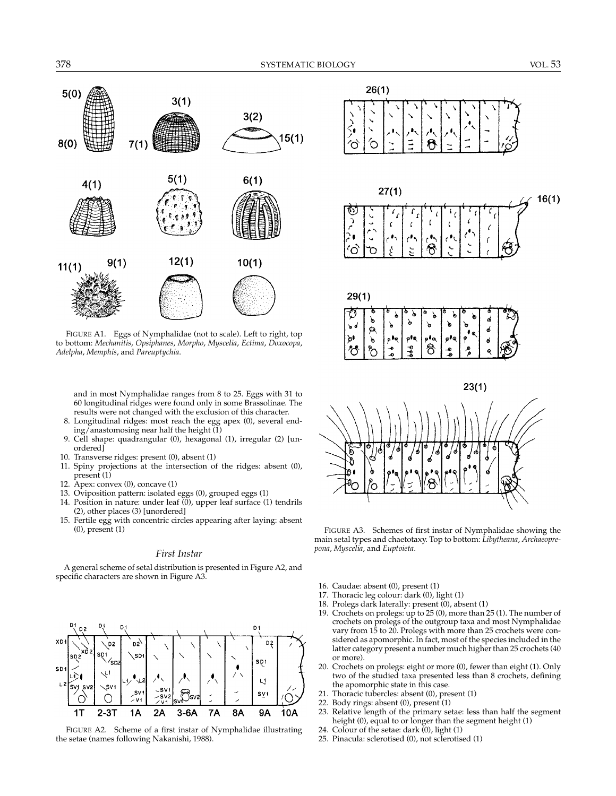$26(1)$ 



FIGURE A1. Eggs of Nymphalidae (not to scale). Left to right, top to bottom: *Mechanitis*, *Opsiphanes*, *Morpho*, *Myscelia*, *Ectima*, *Doxocopa*, *Adelpha*, *Memphis*, and *Pareuptychia*.

and in most Nymphalidae ranges from 8 to 25. Eggs with 31 to 60 longitudinal ridges were found only in some Brassolinae. The results were not changed with the exclusion of this character.

- 8. Longitudinal ridges: most reach the egg apex (0), several ending/anastomosing near half the height  $(1)$
- 9. Cell shape: quadrangular (0), hexagonal (1), irregular (2) [unordered]
- 10. Transverse ridges: present (0), absent (1)
- 11. Spiny projections at the intersection of the ridges: absent (0), present (1)
- 12. Apex: convex (0), concave (1)
- 13. Oviposition pattern: isolated eggs (0), grouped eggs (1)
- 14. Position in nature: under leaf (0), upper leaf surface (1) tendrils (2), other places (3) [unordered]
- 15. Fertile egg with concentric circles appearing after laying: absent (0), present (1)

#### *First Instar*

A general scheme of setal distribution is presented in Figure A2, and specific characters are shown in Figure A3.













FIGURE A3. Schemes of first instar of Nymphalidae showing the main setal types and chaetotaxy. Top to bottom: *Libytheana*, *Archaeoprepona*, *Myscelia*, and *Euptoieta*.

- 16. Caudae: absent (0), present (1)
- 17. Thoracic leg colour: dark (0), light (1)
- 18. Prolegs dark laterally: present (0), absent (1)
- 19. Crochets on prolegs: up to 25 (0), more than 25 (1). The number of crochets on prolegs of the outgroup taxa and most Nymphalidae vary from 15 to 20. Prolegs with more than 25 crochets were considered as apomorphic. In fact, most of the species included in the latter category present a number much higher than 25 crochets (40 or more).
- 20. Crochets on prolegs: eight or more (0), fewer than eight (1). Only two of the studied taxa presented less than 8 crochets, defining the apomorphic state in this case.
- 21. Thoracic tubercles: absent (0), present (1)
- 22. Body rings: absent (0), present (1)
- 23. Relative length of the primary setae: less than half the segment height (0), equal to or longer than the segment height (1)
- 24. Colour of the setae: dark (0), light (1)
- 25. Pinacula: sclerotised (0), not sclerotised (1)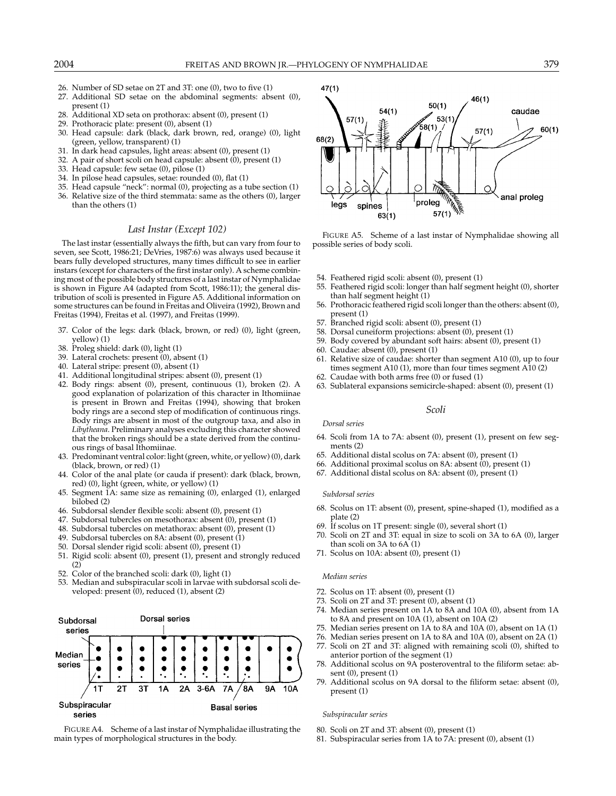- 26. Number of SD setae on 2T and 3T: one (0), two to five (1)
- 27. Additional SD setae on the abdominal segments: absent (0), present (1)
- 28. Additional XD seta on prothorax: absent (0), present (1)
- 29. Prothoracic plate: present (0), absent (1)
- 30. Head capsule: dark (black, dark brown, red, orange) (0), light (green, yellow, transparent) (1)
- 31. In dark head capsules, light areas: absent (0), present (1)
- 32. A pair of short scoli on head capsule: absent (0), present (1)
- 33. Head capsule: few setae (0), pilose (1)
- 34. In pilose head capsules, setae: rounded (0), flat (1)
- 35. Head capsule "neck": normal (0), projecting as a tube section (1)
- 36. Relative size of the third stemmata: same as the others (0), larger than the others (1)

# *Last Instar (Except 102)*

The last instar (essentially always the fifth, but can vary from four to seven, see Scott, 1986:21; DeVries, 1987:6) was always used because it bears fully developed structures, many times difficult to see in earlier instars (except for characters of the first instar only). A scheme combining most of the possible body structures of a last instar of Nymphalidae is shown in Figure A4 (adapted from Scott, 1986:11); the general distribution of scoli is presented in Figure A5. Additional information on some structures can be found in Freitas and Oliveira (1992), Brown and Freitas (1994), Freitas et al. (1997), and Freitas (1999).

- 37. Color of the legs: dark (black, brown, or red) (0), light (green, yellow) (1)
- 38. Proleg shield: dark (0), light (1)
- 39. Lateral crochets: present (0), absent (1)
- 40. Lateral stripe: present (0), absent (1)
- 41. Additional longitudinal stripes: absent (0), present (1)
- 42. Body rings: absent (0), present, continuous (1), broken (2). A good explanation of polarization of this character in Ithomiinae is present in Brown and Freitas (1994), showing that broken body rings are a second step of modification of continuous rings. Body rings are absent in most of the outgroup taxa, and also in *Libytheana*. Preliminary analyses excluding this character showed that the broken rings should be a state derived from the continuous rings of basal Ithomiinae.
- 43. Predominant ventral color: light (green, white, or yellow) (0), dark (black, brown, or red) (1)
- 44. Color of the anal plate (or cauda if present): dark (black, brown, red) (0), light (green, white, or yellow) (1)
- 45. Segment 1A: same size as remaining (0), enlarged (1), enlarged bilobed (2)
- 46. Subdorsal slender flexible scoli: absent (0), present (1)
- 47. Subdorsal tubercles on mesothorax: absent (0), present (1)
- 48. Subdorsal tubercles on metathorax: absent (0), present (1)
- 49. Subdorsal tubercles on 8A: absent (0), present (1)
- 50. Dorsal slender rigid scoli: absent (0), present (1)
- 51. Rigid scoli: absent (0), present (1), present and strongly reduced (2)
- 52. Color of the branched scoli: dark (0), light (1)
- 53. Median and subspiracular scoli in larvae with subdorsal scoli developed: present (0), reduced (1), absent (2)



FIGURE A4. Scheme of a last instar of Nymphalidae illustrating the main types of morphological structures in the body.



FIGURE A5. Scheme of a last instar of Nymphalidae showing all possible series of body scoli.

- 
- 54. Feathered rigid scoli: absent (0), present (1) 55. Feathered rigid scoli: longer than half segment height (0), shorter than half segment height (1)
- 56. Prothoracic feathered rigid scoli longer than the others: absent (0), present (1)
- 57. Branched rigid scoli: absent (0), present (1)
- 58. Dorsal cuneiform projections: absent (0), present (1)
- 59. Body covered by abundant soft hairs: absent (0), present (1)
- 60. Caudae: absent (0), present (1)
- 61. Relative size of caudae: shorter than segment A10 (0), up to four times segment A10 (1), more than four times segment A10 (2)
- 62. Caudae with both arms free (0) or fused (1)
- 63. Sublateral expansions semicircle-shaped: absent (0), present (1)

#### *Scoli*

#### *Dorsal series*

- 64. Scoli from 1A to 7A: absent (0), present (1), present on few segments (2)
- 65. Additional distal scolus on 7A: absent (0), present (1)
- 66. Additional proximal scolus on 8A: absent (0), present (1)
- 67. Additional distal scolus on 8A: absent (0), present (1)

#### *Subdorsal series*

- 68. Scolus on 1T: absent (0), present, spine-shaped (1), modified as a plate (2)
- 69. If scolus on 1T present: single (0), several short (1) 70. Scoli on 2T and 3T: equal in size to scoli on 3A to
- Scoli on 2T and 3T: equal in size to scoli on 3A to 6A (0), larger than scoli on 3A to 6A (1)
- 71. Scolus on 10A: absent (0), present (1)

## *Median series*

- 72. Scolus on 1T: absent (0), present (1)
- 73. Scoli on 2T and 3T: present (0), absent (1)
- 74. Median series present on 1A to 8A and 10A (0), absent from 1A to 8A and present on 10A (1), absent on 10A (2)
- 75. Median series present on 1A to 8A and 10A (0), absent on 1A (1)
- 76. Median series present on 1A to 8A and 10A (0), absent on 2A (1)
- 77. Scoli on 2T and 3T: aligned with remaining scoli (0), shifted to anterior portion of the segment (1)
- 78. Additional scolus on 9A posteroventral to the filiform setae: absent (0), present (1)
- 79. Additional scolus on 9A dorsal to the filiform setae: absent (0), present (1)

#### *Subspiracular series*

80. Scoli on 2T and 3T: absent (0), present (1)

81. Subspiracular series from 1A to 7A: present (0), absent (1)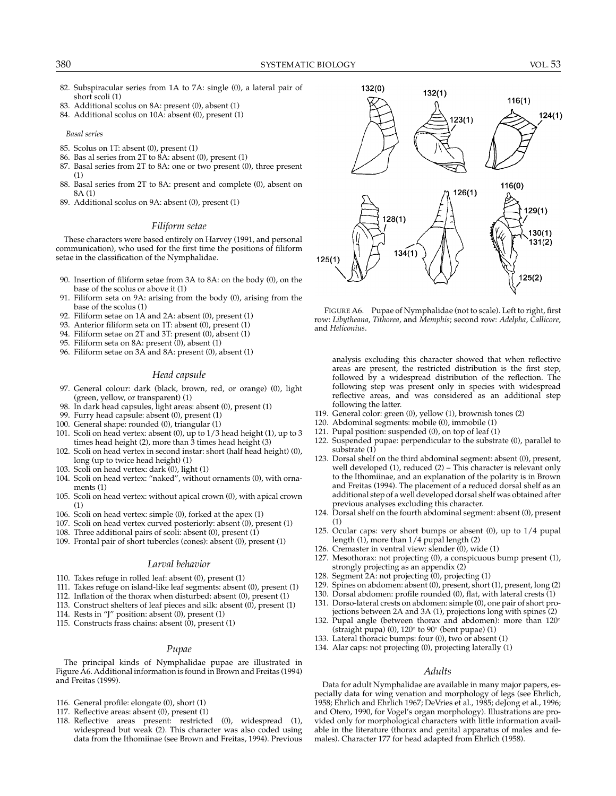- 82. Subspiracular series from 1A to 7A: single (0), a lateral pair of short scoli (1)
- 83. Additional scolus on 8A: present (0), absent (1)
- 84. Additional scolus on 10A: absent (0), present (1)
- *Basal series*
- 85. Scolus on 1T: absent (0), present (1)
- 86. Bas al series from 2T to 8A: absent (0), present (1)
- 87. Basal series from 2T to 8A: one or two present (0), three present (1)
- 88. Basal series from 2T to 8A: present and complete (0), absent on 8A (1)
- 89. Additional scolus on 9A: absent (0), present (1)

# *Filiform setae*

These characters were based entirely on Harvey (1991, and personal communication), who used for the first time the positions of filiform setae in the classification of the Nymphalidae.

- 90. Insertion of filiform setae from 3A to 8A: on the body (0), on the base of the scolus or above it (1)
- 91. Filiform seta on 9A: arising from the body (0), arising from the base of the scolus (1)
- 92. Filiform setae on 1A and 2A: absent (0), present (1)
- 93. Anterior filiform seta on 1T: absent (0), present (1)
- 94. Filiform setae on 2T and 3T: present (0), absent (1)
- 95. Filiform seta on 8A: present (0), absent (1)
- 96. Filiform setae on 3A and 8A: present (0), absent (1)

## *Head capsule*

- 97. General colour: dark (black, brown, red, or orange) (0), light (green, yellow, or transparent) (1)
- 98. In dark head capsules, light areas: absent (0), present (1)
- 99. Furry head capsule: absent (0), present (1)
- 100. General shape: rounded (0), triangular (1)
- 101. Scoli on head vertex: absent (0), up to 1/3 head height (1), up to 3 times head height (2), more than 3 times head height (3)
- 102. Scoli on head vertex in second instar: short (half head height) (0), long (up to twice head height) (1)
- 103. Scoli on head vertex: dark (0), light (1)
- 104. Scoli on head vertex: "naked", without ornaments (0), with ornaments (1)
- 105. Scoli on head vertex: without apical crown (0), with apical crown (1)
- 106. Scoli on head vertex: simple (0), forked at the apex (1)
- 107. Scoli on head vertex curved posteriorly: absent (0), present (1)
- 108. Three additional pairs of scoli: absent (0), present (1)
- 109. Frontal pair of short tubercles (cones): absent (0), present (1)

#### *Larval behavior*

- 110. Takes refuge in rolled leaf: absent (0), present (1)
- 111. Takes refuge on island-like leaf segments: absent (0), present (1)
- 112. Inflation of the thorax when disturbed: absent (0), present (1)
- 113. Construct shelters of leaf pieces and silk: absent (0), present (1)
- 114. Rests in "J" position: absent (0), present (1)
- 115. Constructs frass chains: absent  $(0)$ , present  $(1)$

#### *Pupae*

The principal kinds of Nymphalidae pupae are illustrated in Figure A6. Additional information is found in Brown and Freitas (1994) and Freitas (1999).

- 116. General profile: elongate (0), short (1)
- 117. Reflective areas: absent (0), present (1)
- 118. Reflective areas present: restricted (0), widespread (1), widespread but weak (2). This character was also coded using data from the Ithomiinae (see Brown and Freitas, 1994). Previous



FIGURE A6. Pupae of Nymphalidae (not to scale). Left to right, first row: *Libytheana*, *Tithorea*, and *Memphis*; second row: *Adelpha*, *Callicore*, and *Heliconius*.

analysis excluding this character showed that when reflective areas are present, the restricted distribution is the first step, followed by a widespread distribution of the reflection. The following step was present only in species with widespread reflective areas, and was considered as an additional step following the latter.

- 119. General color: green (0), yellow (1), brownish tones (2)
- 120. Abdominal segments: mobile (0), immobile (1)
- 121. Pupal position: suspended (0), on top of leaf (1)
- 122. Suspended pupae: perpendicular to the substrate (0), parallel to substrate (1)
- 123. Dorsal shelf on the third abdominal segment: absent (0), present, well developed (1), reduced (2) – This character is relevant only to the Ithomiinae, and an explanation of the polarity is in Brown and Freitas (1994). The placement of a reduced dorsal shelf as an additional step of a well developed dorsal shelf was obtained after previous analyses excluding this character.
- 124. Dorsal shelf on the fourth abdominal segment: absent (0), present (1)
- 125. Ocular caps: very short bumps or absent (0), up to 1/4 pupal length (1), more than 1/4 pupal length (2)
- 126. Cremaster in ventral view: slender  $(0)$ , wide  $(1)$
- 127. Mesothorax: not projecting (0), a conspicuous bump present (1), strongly projecting as an appendix (2)
- 128. Segment 2A: not projecting (0), projecting (1)
- 129. Spines on abdomen: absent (0), present, short (1), present, long (2)
- 130. Dorsal abdomen: profile rounded (0), flat, with lateral crests (1)
- 131. Dorso-lateral crests on abdomen: simple (0), one pair of short projections between 2A and 3A (1), projections long with spines (2)
- 132. Pupal angle (between thorax and abdomen): more than 120<sup>°</sup> (straight pupa) (0), 120◦ to 90◦ (bent pupae) (1)
- 133. Lateral thoracic bumps: four (0), two or absent (1)
- 134. Alar caps: not projecting (0), projecting laterally (1)

# *Adults*

Data for adult Nymphalidae are available in many major papers, especially data for wing venation and morphology of legs (see Ehrlich, 1958; Ehrlich and Ehrlich 1967; DeVries et al., 1985; deJong et al., 1996; and Otero, 1990, for Vogel's organ morphology). Illustrations are provided only for morphological characters with little information available in the literature (thorax and genital apparatus of males and females). Character 177 for head adapted from Ehrlich (1958).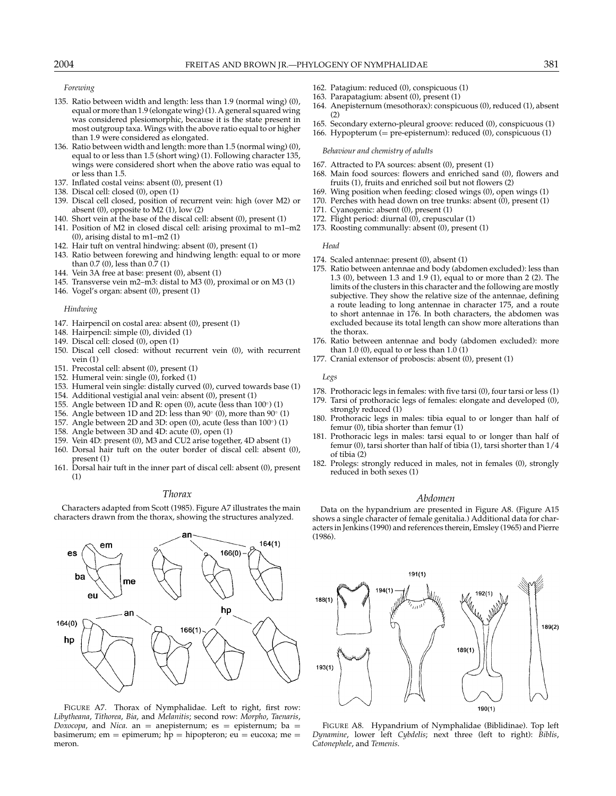*Forewing*

- 135. Ratio between width and length: less than 1.9 (normal wing) (0), equal or more than 1.9 (elongate wing) (1). A general squared wing was considered plesiomorphic, because it is the state present in most outgroup taxa. Wings with the above ratio equal to or higher than 1.9 were considered as elongated.
- 136. Ratio between width and length: more than 1.5 (normal wing) (0), equal to or less than 1.5 (short wing) (1). Following character 135, wings were considered short when the above ratio was equal to or less than 1.5.
- 137. Inflated costal veins: absent (0), present (1)
- 138. Discal cell: closed (0), open (1)
- 139. Discal cell closed, position of recurrent vein: high (over M2) or absent (0), opposite to M2 (1), low (2)
- 140. Short vein at the base of the discal cell: absent (0), present (1)
- 141. Position of M2 in closed discal cell: arising proximal to m1–m2 (0), arising distal to m1–m2 (1)
- 142. Hair tuft on ventral hindwing: absent (0), present (1)
- 143. Ratio between forewing and hindwing length: equal to or more than 0.7 (0), less than 0.7 (1)
- 144. Vein 3A free at base: present (0), absent (1)
- 145. Transverse vein m2–m3: distal to M3 (0), proximal or on M3 (1)
- 146. Vogel's organ: absent (0), present (1)

#### *Hindwing*

- 147. Hairpencil on costal area: absent (0), present (1)
- 148. Hairpencil: simple (0), divided (1)
- 149. Discal cell: closed (0), open (1)
- 150. Discal cell closed: without recurrent vein (0), with recurrent vein (1)
- 151. Precostal cell: absent (0), present (1)
- 152. Humeral vein: single (0), forked (1)
- 153. Humeral vein single: distally curved (0), curved towards base (1)
- 154. Additional vestigial anal vein: absent (0), present (1)
- 155. Angle between 1D and R: open  $(0)$ , acute (less than  $100°$ )  $(1)$
- 156. Angle between 1D and 2D: less than 90◦ (0), more than 90◦ (1)
- 157. Angle between 2D and 3D: open (0), acute (less than 100°) (1)
- 158. Angle between 3D and 4D: acute (0), open (1)
- 159. Vein 4D: present (0), M3 and CU2 arise together, 4D absent (1)
- 160. Dorsal hair tuft on the outer border of discal cell: absent (0), present (1)
- 161. Dorsal hair tuft in the inner part of discal cell: absent (0), present (1)

# *Thorax*

Characters adapted from Scott (1985). Figure A7 illustrates the main characters drawn from the thorax, showing the structures analyzed.



FIGURE A7. Thorax of Nymphalidae. Left to right, first row: *Libytheana*, *Tithorea*, *Bia*, and *Melanitis*; second row: *Morpho*, *Taenaris*, *Doxocopa*, and *Nica*. an = anepisternum; es = episternum; ba = basimerum; em = epimerum;  $hp = hipopteron$ ; eu = eucoxa; me = meron.

- 162. Patagium: reduced (0), conspicuous (1)
- 163. Parapatagium: absent (0), present (1)
- 164. Anepisternum (mesothorax): conspicuous (0), reduced (1), absent  $(2)$
- 165. Secondary externo-pleural groove: reduced (0), conspicuous (1)
- 166. Hypopterum (= pre-episternum): reduced (0), conspicuous (1)

#### *Behaviour and chemistry of adults*

- 167. Attracted to PA sources: absent (0), present (1)
- 168. Main food sources: flowers and enriched sand (0), flowers and fruits (1), fruits and enriched soil but not flowers (2)
- 169. Wing position when feeding: closed wings (0), open wings (1)
- 170. Perches with head down on tree trunks: absent (0), present (1)
- 171. Cyanogenic: absent (0), present (1)
- 172. Flight period: diurnal (0), crepuscular (1)
- 173. Roosting communally: absent (0), present (1)

#### *Head*

- 174. Scaled antennae: present (0), absent (1)
- 175. Ratio between antennae and body (abdomen excluded): less than 1.3 (0), between 1.3 and 1.9 (1), equal to or more than 2 (2). The limits of the clusters in this character and the following are mostly subjective. They show the relative size of the antennae, defining a route leading to long antennae in character 175, and a route to short antennae in 176. In both characters, the abdomen was excluded because its total length can show more alterations than the thorax.
- 176. Ratio between antennae and body (abdomen excluded): more than  $1.0$  (0), equal to or less than  $1.0$  (1)
- 177. Cranial extensor of proboscis: absent (0), present (1)

#### *Legs*

- 178. Prothoracic legs in females: with five tarsi (0), four tarsi or less (1)
- 179. Tarsi of prothoracic legs of females: elongate and developed (0), strongly reduced (1)
- 180. Prothoracic legs in males: tibia equal to or longer than half of femur (0), tibia shorter than femur (1)
- 181. Prothoracic legs in males: tarsi equal to or longer than half of femur (0), tarsi shorter than half of tibia (1), tarsi shorter than 1/4 of tibia (2)
- 182. Prolegs: strongly reduced in males, not in females (0), strongly reduced in both sexes (1)

### *Abdomen*

Data on the hypandrium are presented in Figure A8. (Figure A15 shows a single character of female genitalia.) Additional data for characters in Jenkins (1990) and references therein, Emsley (1965) and Pierre (1986).



FIGURE A8. Hypandrium of Nymphalidae (Biblidinae). Top left *Dynamine*, lower left *Cybdelis*; next three (left to right): *Biblis*, *Catonephele*, and *Temenis*.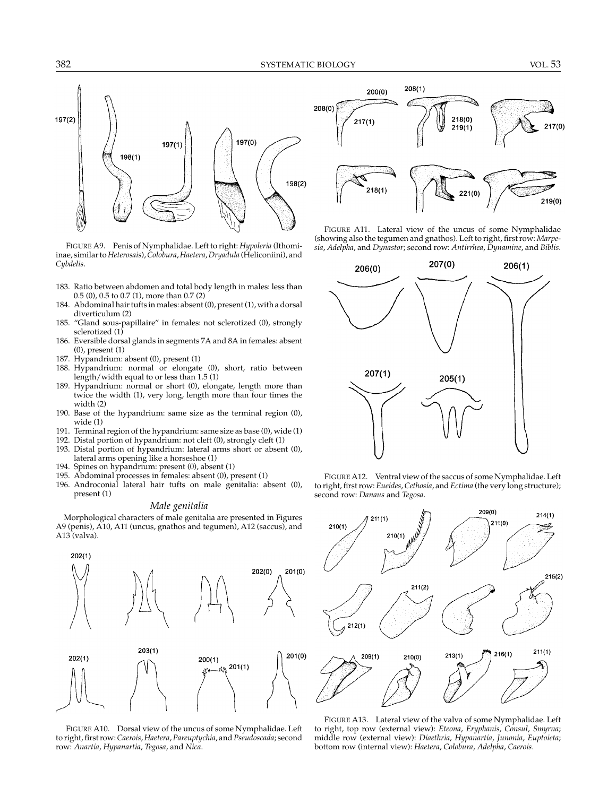

FIGURE A9. Penis of Nymphalidae. Left to right: *Hypoleria* (Ithomiinae, similar to*Heterosais*),*Colobura*,*Haetera*,*Dryadula* (Heliconiini), and *Cybdelis*.

- 183. Ratio between abdomen and total body length in males: less than 0.5 (0), 0.5 to 0.7 (1), more than 0.7 (2)
- 184. Abdominal hair tufts in males: absent (0), present (1), with a dorsal diverticulum (2)
- 185. "Gland sous-papillaire" in females: not sclerotized (0), strongly sclerotized (1)
- 186. Eversible dorsal glands in segments 7A and 8A in females: absent (0), present (1)
- 187. Hypandrium: absent (0), present (1)
- 188. Hypandrium: normal or elongate (0), short, ratio between length/width equal to or less than 1.5 (1)
- 189. Hypandrium: normal or short (0), elongate, length more than twice the width (1), very long, length more than four times the width (2)
- 190. Base of the hypandrium: same size as the terminal region (0), wide (1)
- 191. Terminal region of the hypandrium: same size as base (0), wide (1)
- 192. Distal portion of hypandrium: not cleft (0), strongly cleft (1)
- 193. Distal portion of hypandrium: lateral arms short or absent (0), lateral arms opening like a horseshoe (1)
- 194. Spines on hypandrium: present (0), absent (1)
- 195. Abdominal processes in females: absent (0), present (1)
- 196. Androconial lateral hair tufts on male genitalia: absent (0), present (1)

# *Male genitalia*

Morphological characters of male genitalia are presented in Figures A9 (penis), A10, A11 (uncus, gnathos and tegumen), A12 (saccus), and A13 (valva).



FIGURE A10. Dorsal view of the uncus of some Nymphalidae. Left to right, first row:*Caerois*,*Haetera*, *Pareuptychia*, and *Pseudoscada*; second row: *Anartia*, *Hypanartia*, *Tegosa*, and *Nica*.



FIGURE A11. Lateral view of the uncus of some Nymphalidae (showing also the tegumen and gnathos). Left to right, first row: *Marpesia*, *Adelpha*, and *Dynastor*; second row: *Antirrhea*, *Dynamine*, and *Biblis*.







FIGURE A13. Lateral view of the valva of some Nymphalidae. Left to right, top row (external view): *Eteona*, *Eryphanis*, *Consul*, *Smyrna*; middle row (external view): *Diaethria*, *Hypanartia*, *Junonia*, *Euptoieta*; bottom row (internal view): *Haetera*, *Colobura*, *Adelpha*, *Caerois*.